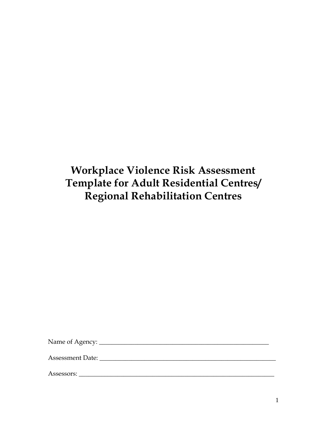# **Workplace Violence Risk Assessment Template for Adult Residential Centres/ Regional Rehabilitation Centres**

Name of Agency: \_\_\_\_\_\_\_\_\_\_\_\_\_\_\_\_\_\_\_\_\_\_\_\_\_\_\_\_\_\_\_\_\_\_\_\_\_\_\_\_\_\_\_\_\_\_\_\_\_\_\_\_\_

Assessment Date: \_\_\_\_\_\_\_\_\_\_\_\_\_\_\_\_\_\_\_\_\_\_\_\_\_\_\_\_\_\_\_\_\_\_\_\_\_\_\_\_\_\_\_\_\_\_\_\_\_\_\_\_\_\_\_

Assessors: \_\_\_\_\_\_\_\_\_\_\_\_\_\_\_\_\_\_\_\_\_\_\_\_\_\_\_\_\_\_\_\_\_\_\_\_\_\_\_\_\_\_\_\_\_\_\_\_\_\_\_\_\_\_\_\_\_\_\_\_\_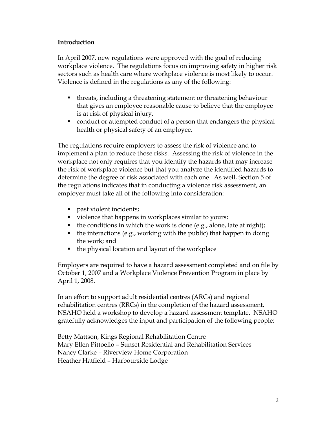#### **Introduction**

In April 2007, new regulations were approved with the goal of reducing workplace violence. The regulations focus on improving safety in higher risk sectors such as health care where workplace violence is most likely to occur. Violence is defined in the regulations as any of the following:

- threats, including a threatening statement or threatening behaviour that gives an employee reasonable cause to believe that the employee is at risk of physical injury,
- conduct or attempted conduct of a person that endangers the physical health or physical safety of an employee.

The regulations require employers to assess the risk of violence and to implement a plan to reduce those risks. Assessing the risk of violence in the workplace not only requires that you identify the hazards that may increase the risk of workplace violence but that you analyze the identified hazards to determine the degree of risk associated with each one. As well, Section 5 of the regulations indicates that in conducting a violence risk assessment, an employer must take all of the following into consideration:

- **past violent incidents;**
- violence that happens in workplaces similar to yours;
- $\blacksquare$  the conditions in which the work is done (e.g., alone, late at night);
- $\blacksquare$  the interactions (e.g., working with the public) that happen in doing the work; and
- $\blacksquare$  the physical location and layout of the workplace

Employers are required to have a hazard assessment completed and on file by October 1, 2007 and a Workplace Violence Prevention Program in place by April 1, 2008.

In an effort to support adult residential centres (ARCs) and regional rehabilitation centres (RRCs) in the completion of the hazard assessment, NSAHO held a workshop to develop a hazard assessment template. NSAHO gratefully acknowledges the input and participation of the following people:

Betty Mattson, Kings Regional Rehabilitation Centre Mary Ellen Pittoello – Sunset Residential and Rehabilitation Services Nancy Clarke – Riverview Home Corporation Heather Hatfield – Harbourside Lodge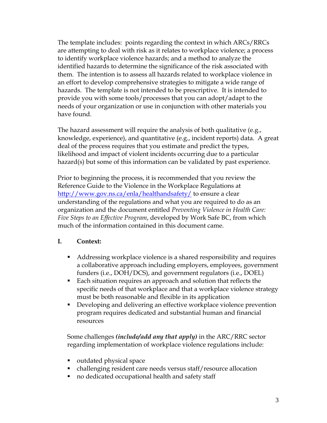The template includes: points regarding the context in which ARCs/RRCs are attempting to deal with risk as it relates to workplace violence; a process to identify workplace violence hazards; and a method to analyze the identified hazards to determine the significance of the risk associated with them. The intention is to assess all hazards related to workplace violence in an effort to develop comprehensive strategies to mitigate a wide range of hazards. The template is not intended to be prescriptive. It is intended to provide you with some tools/processes that you can adopt/adapt to the needs of your organization or use in conjunction with other materials you have found.

The hazard assessment will require the analysis of both qualitative (e.g., knowledge, experience), and quantitative (e.g., incident reports) data. A great deal of the process requires that you estimate and predict the types, likelihood and impact of violent incidents occurring due to a particular hazard(s) but some of this information can be validated by past experience.

Prior to beginning the process, it is recommended that you review the Reference Guide to the Violence in the Workplace Regulations at http://www.gov.ns.ca/enla/healthandsafety/ to ensure a clear understanding of the regulations and what you are required to do as an organization and the document entitled *Preventing Violence in Health Care: Five Steps to an Effective Program*, developed by Work Safe BC, from which much of the information contained in this document came.

#### **I. Context:**

- Addressing workplace violence is a shared responsibility and requires a collaborative approach including employers, employees, government funders (i.e., DOH/DCS), and government regulators (i.e., DOEL)
- Each situation requires an approach and solution that reflects the specific needs of that workplace and that a workplace violence strategy must be both reasonable and flexible in its application
- Developing and delivering an effective workplace violence prevention program requires dedicated and substantial human and financial resources

Some challenges *(include/add any that apply)* in the ARC/RRC sector regarding implementation of workplace violence regulations include:

- outdated physical space
- challenging resident care needs versus staff/resource allocation
- no dedicated occupational health and safety staff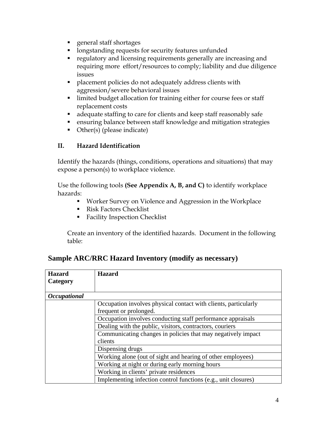- **p** general staff shortages
- **I** longstanding requests for security features unfunded
- **•** regulatory and licensing requirements generally are increasing and requiring more effort/resources to comply; liability and due diligence issues
- placement policies do not adequately address clients with aggression/severe behavioral issues
- **I** limited budget allocation for training either for course fees or staff replacement costs
- adequate staffing to care for clients and keep staff reasonably safe
- ensuring balance between staff knowledge and mitigation strategies
- Other(s) (please indicate)

#### **II. Hazard Identification**

Identify the hazards (things, conditions, operations and situations) that may expose a person(s) to workplace violence.

Use the following tools **(See Appendix A, B, and C)** to identify workplace hazards:

- Worker Survey on Violence and Aggression in the Workplace
- **Risk Factors Checklist**
- Facility Inspection Checklist

Create an inventory of the identified hazards. Document in the following table:

| <b>Hazard</b>              | <b>Hazard</b>                                                   |  |  |
|----------------------------|-----------------------------------------------------------------|--|--|
| Category                   |                                                                 |  |  |
|                            |                                                                 |  |  |
| <i><b>Occupational</b></i> |                                                                 |  |  |
|                            | Occupation involves physical contact with clients, particularly |  |  |
|                            | frequent or prolonged.                                          |  |  |
|                            | Occupation involves conducting staff performance appraisals     |  |  |
|                            | Dealing with the public, visitors, contractors, couriers        |  |  |
|                            | Communicating changes in policies that may negatively impact    |  |  |
|                            | clients                                                         |  |  |
|                            | Dispensing drugs                                                |  |  |
|                            | Working alone (out of sight and hearing of other employees)     |  |  |
|                            | Working at night or during early morning hours                  |  |  |
|                            | Working in clients' private residences                          |  |  |
|                            | Implementing infection control functions (e.g., unit closures)  |  |  |

#### **Sample ARC/RRC Hazard Inventory (modify as necessary)**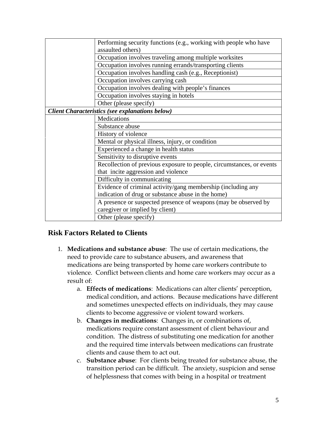| Performing security functions (e.g., working with people who have     |  |
|-----------------------------------------------------------------------|--|
| assaulted others)                                                     |  |
| Occupation involves traveling among multiple worksites                |  |
| Occupation involves running errands/transporting clients              |  |
| Occupation involves handling cash (e.g., Receptionist)                |  |
| Occupation involves carrying cash                                     |  |
| Occupation involves dealing with people's finances                    |  |
| Occupation involves staying in hotels                                 |  |
| Other (please specify)                                                |  |
| <b>Client Characteristics (see explanations below)</b>                |  |
| Medications                                                           |  |
| Substance abuse                                                       |  |
| History of violence                                                   |  |
| Mental or physical illness, injury, or condition                      |  |
| Experienced a change in health status                                 |  |
| Sensitivity to disruptive events                                      |  |
| Recollection of previous exposure to people, circumstances, or events |  |
| that incite aggression and violence                                   |  |
| Difficulty in communicating                                           |  |
| Evidence of criminal activity/gang membership (including any          |  |
| indication of drug or substance abuse in the home)                    |  |
| A presence or suspected presence of weapons (may be observed by       |  |
| caregiver or implied by client)                                       |  |
| Other (please specify)                                                |  |

#### **Risk Factors Related to Clients**

- 1. **Medications and substance abuse**: The use of certain medications, the need to provide care to substance abusers, and awareness that medications are being transported by home care workers contribute to violence. Conflict between clients and home care workers may occur as a result of:
	- a. **Effects of medications**: Medications can alter clients' perception, medical condition, and actions. Because medications have different and sometimes unexpected effects on individuals, they may cause clients to become aggressive or violent toward workers.
	- b. **Changes in medications**: Changes in, or combinations of, medications require constant assessment of client behaviour and condition. The distress of substituting one medication for another and the required time intervals between medications can frustrate clients and cause them to act out.
	- c. **Substance abuse**: For clients being treated for substance abuse, the transition period can be difficult. The anxiety, suspicion and sense of helplessness that comes with being in a hospital or treatment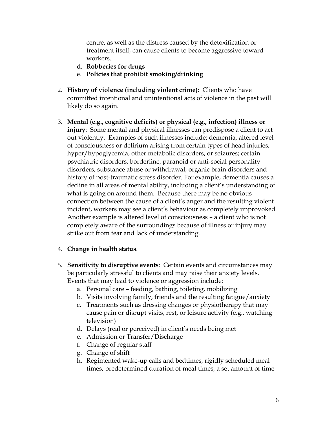centre, as well as the distress caused by the detoxification or treatment itself, can cause clients to become aggressive toward workers.

- d. **Robberies for drugs**
- e. **Policies that prohibit smoking/drinking**
- 2. **History of violence (including violent crime):** Clients who have committed intentional and unintentional acts of violence in the past will likely do so again.
- 3. **Mental (e.g., cognitive deficits) or physical (e.g., infection) illness or injury**: Some mental and physical illnesses can predispose a client to act out violently. Examples of such illnesses include: dementia, altered level of consciousness or delirium arising from certain types of head injuries, hyper/hypoglycemia, other metabolic disorders, or seizures; certain psychiatric disorders, borderline, paranoid or anti-social personality disorders; substance abuse or withdrawal; organic brain disorders and history of post-traumatic stress disorder. For example, dementia causes a decline in all areas of mental ability, including a client's understanding of what is going on around them. Because there may be no obvious connection between the cause of a client's anger and the resulting violent incident, workers may see a client's behaviour as completely unprovoked. Another example is altered level of consciousness – a client who is not completely aware of the surroundings because of illness or injury may strike out from fear and lack of understanding.

#### 4. **Change in health status**.

- 5. **Sensitivity to disruptive events**: Certain events and circumstances may be particularly stressful to clients and may raise their anxiety levels. Events that may lead to violence or aggression include:
	- a. Personal care feeding, bathing, toileting, mobilizing
	- b. Visits involving family, friends and the resulting fatigue/anxiety
	- c. Treatments such as dressing changes or physiotherapy that may cause pain or disrupt visits, rest, or leisure activity (e.g., watching television)
	- d. Delays (real or perceived) in client's needs being met
	- e. Admission or Transfer/Discharge
	- f. Change of regular staff
	- g. Change of shift
	- h. Regimented wake-up calls and bedtimes, rigidly scheduled meal times, predetermined duration of meal times, a set amount of time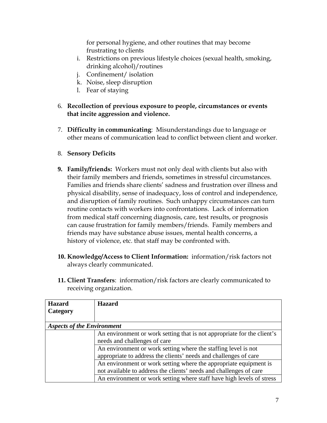for personal hygiene, and other routines that may become frustrating to clients

- i. Restrictions on previous lifestyle choices (sexual health, smoking, drinking alcohol)/routines
- j. Confinement/ isolation
- k. Noise, sleep disruption
- l. Fear of staying
- 6. **Recollection of previous exposure to people, circumstances or events that incite aggression and violence.**
- 7. **Difficulty in communicating**: Misunderstandings due to language or other means of communication lead to conflict between client and worker.
- 8. **Sensory Deficits**
- **9. Family/friends:** Workers must not only deal with clients but also with their family members and friends, sometimes in stressful circumstances. Families and friends share clients' sadness and frustration over illness and physical disability, sense of inadequacy, loss of control and independence, and disruption of family routines. Such unhappy circumstances can turn routine contacts with workers into confrontations. Lack of information from medical staff concerning diagnosis, care, test results, or prognosis can cause frustration for family members/friends. Family members and friends may have substance abuse issues, mental health concerns, a history of violence, etc. that staff may be confronted with.
- **10. Knowledge/Access to Client Information:** information/risk factors not always clearly communicated.
- **11. Client Transfers**:information/risk factors are clearly communicated to receiving organization.

| <b>Hazard</b>                     | <b>Hazard</b>                                                           |  |
|-----------------------------------|-------------------------------------------------------------------------|--|
| Category                          |                                                                         |  |
|                                   |                                                                         |  |
| <b>Aspects of the Environment</b> |                                                                         |  |
|                                   | An environment or work setting that is not appropriate for the client's |  |
|                                   | needs and challenges of care                                            |  |
|                                   | An environment or work setting where the staffing level is not          |  |
|                                   | appropriate to address the clients' needs and challenges of care        |  |
|                                   | An environment or work setting where the appropriate equipment is       |  |
|                                   | not available to address the clients' needs and challenges of care      |  |
|                                   | An environment or work setting where staff have high levels of stress   |  |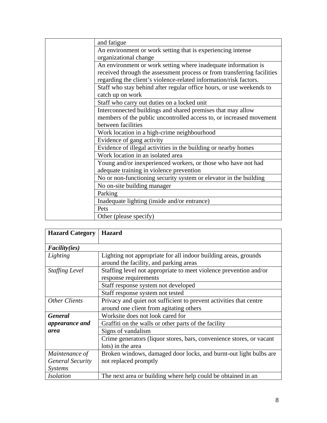| and fatigue                                                             |
|-------------------------------------------------------------------------|
| An environment or work setting that is experiencing intense             |
| organizational change                                                   |
| An environment or work setting where inadequate information is          |
| received through the assessment process or from transferring facilities |
| regarding the client's violence-related information/risk factors.       |
| Staff who stay behind after regular office hours, or use weekends to    |
| catch up on work                                                        |
| Staff who carry out duties on a locked unit                             |
| Interconnected buildings and shared premises that may allow             |
| members of the public uncontrolled access to, or increased movement     |
| between facilities                                                      |
| Work location in a high-crime neighbourhood                             |
| Evidence of gang activity                                               |
| Evidence of illegal activities in the building or nearby homes          |
| Work location in an isolated area                                       |
| Young and/or inexperienced workers, or those who have not had           |
| adequate training in violence prevention                                |
| No or non-functioning security system or elevator in the building       |
| No on-site building manager                                             |
| Parking                                                                 |
| Inadequate lighting (inside and/or entrance)                            |
| Pets                                                                    |
| Other (please specify)                                                  |

| <b>Hazard Category</b>  | <b>Hazard</b>                                                                                             |  |
|-------------------------|-----------------------------------------------------------------------------------------------------------|--|
| <i>Facility(ies)</i>    |                                                                                                           |  |
| Lighting                | Lighting not appropriate for all indoor building areas, grounds<br>around the facility, and parking areas |  |
| <b>Staffing Level</b>   | Staffing level not appropriate to meet violence prevention and/or<br>response requirements                |  |
|                         | Staff response system not developed                                                                       |  |
|                         | Staff response system not tested                                                                          |  |
| <b>Other Clients</b>    | Privacy and quiet not sufficient to prevent activities that centre                                        |  |
|                         | around one client from agitating others                                                                   |  |
| <b>General</b>          | Worksite does not look cared for                                                                          |  |
| appearance and          | Graffiti on the walls or other parts of the facility                                                      |  |
| area                    | Signs of vandalism                                                                                        |  |
|                         | Crime generators (liquor stores, bars, convenience stores, or vacant                                      |  |
|                         | lots) in the area                                                                                         |  |
| Maintenance of          | Broken windows, damaged door locks, and burnt-out light bulbs are                                         |  |
| <b>General Security</b> | not replaced promptly                                                                                     |  |
| <b>Systems</b>          |                                                                                                           |  |
| <b>Isolation</b>        | The next area or building where help could be obtained in an                                              |  |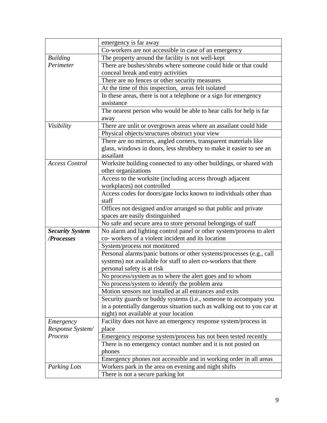|                                      | emergency is far away                                                                                                                 |  |
|--------------------------------------|---------------------------------------------------------------------------------------------------------------------------------------|--|
|                                      | Co-workers are not accessible in case of an emergency                                                                                 |  |
| <b>Building</b>                      | The property around the facility is not well-kept                                                                                     |  |
| Perimeter                            | There are bushes/shrubs where someone could hide or that could                                                                        |  |
|                                      | conceal break and entry activities                                                                                                    |  |
|                                      | There are no fences or other security measures                                                                                        |  |
|                                      | At the time of this inspection, areas felt isolated                                                                                   |  |
|                                      | In these areas, there is not a telephone or a sign for emergency                                                                      |  |
|                                      | assistance                                                                                                                            |  |
|                                      | The nearest person who would be able to hear calls for help is far                                                                    |  |
|                                      | away                                                                                                                                  |  |
| Visibility                           | There are unlit or overgrown areas where an assailant could hide                                                                      |  |
|                                      | Physical objects/structures obstruct your view                                                                                        |  |
|                                      | There are no mirrors, angled corners, transparent materials like                                                                      |  |
|                                      | glass, windows in doors, less shrubbery to make it easier to see an                                                                   |  |
|                                      | assailant                                                                                                                             |  |
| <b>Access Control</b>                | Worksite building connected to any other buildings, or shared with                                                                    |  |
|                                      | other organizations                                                                                                                   |  |
|                                      | Access to the worksite (including access through adjacent                                                                             |  |
|                                      | workplaces) not controlled                                                                                                            |  |
|                                      | Access codes for doors/gate locks known to individuals other than                                                                     |  |
|                                      | staff                                                                                                                                 |  |
|                                      | Offices not designed and/or arranged so that public and private                                                                       |  |
|                                      | spaces are easily distinguished                                                                                                       |  |
|                                      | No safe and secure area to store personal belongings of staff<br>No alarm and lighting control panel or other system/process to alert |  |
| <b>Security System</b><br>/Processes | co- workers of a violent incident and its location                                                                                    |  |
|                                      | System/process not monitored                                                                                                          |  |
|                                      | Personal alarms/panic buttons or other systems/processes (e.g., call                                                                  |  |
|                                      | systems) not available for staff to alert co-workers that there                                                                       |  |
|                                      | personal safety is at risk                                                                                                            |  |
|                                      | No process/system as to where the alert goes and to whom                                                                              |  |
|                                      | No process/system to identify the problem area                                                                                        |  |
|                                      | Motion sensors not installed at all entrances and exits                                                                               |  |
|                                      | Security guards or buddy systems (i.e., someone to accompany you                                                                      |  |
|                                      | in a potentially dangerous situation such as walking out to you car at                                                                |  |
|                                      | night) not available at your location                                                                                                 |  |
| Emergency                            | Facility does not have an emergency response system/process in                                                                        |  |
| Response System/                     | place                                                                                                                                 |  |
| Process                              | Emergency response system/process has not been tested recently                                                                        |  |
|                                      | There is no emergency contact number and it is not posted on                                                                          |  |
|                                      | phones                                                                                                                                |  |
|                                      | Emergency phones not accessible and in working order in all areas                                                                     |  |
| Parking Lots                         | Workers park in the area on evening and night shifts                                                                                  |  |
|                                      | There is not a secure parking lot                                                                                                     |  |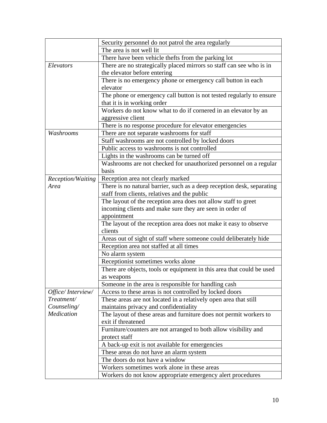|                   | Security personnel do not patrol the area regularly                                                                                                                                                                                                  |  |  |
|-------------------|------------------------------------------------------------------------------------------------------------------------------------------------------------------------------------------------------------------------------------------------------|--|--|
|                   | The area is not well lit                                                                                                                                                                                                                             |  |  |
|                   | There have been vehicle thefts from the parking lot                                                                                                                                                                                                  |  |  |
| Elevators         | There are no strategically placed mirrors so staff can see who is in                                                                                                                                                                                 |  |  |
|                   | the elevator before entering                                                                                                                                                                                                                         |  |  |
|                   | There is no emergency phone or emergency call button in each                                                                                                                                                                                         |  |  |
|                   | elevator                                                                                                                                                                                                                                             |  |  |
|                   | The phone or emergency call button is not tested regularly to ensure                                                                                                                                                                                 |  |  |
|                   | that it is in working order                                                                                                                                                                                                                          |  |  |
|                   | Workers do not know what to do if cornered in an elevator by an                                                                                                                                                                                      |  |  |
|                   | aggressive client                                                                                                                                                                                                                                    |  |  |
|                   | There is no response procedure for elevator emergencies                                                                                                                                                                                              |  |  |
| Washrooms         | There are not separate washrooms for staff                                                                                                                                                                                                           |  |  |
|                   | Staff washrooms are not controlled by locked doors                                                                                                                                                                                                   |  |  |
|                   | Public access to washrooms is not controlled                                                                                                                                                                                                         |  |  |
|                   | Lights in the washrooms can be turned off                                                                                                                                                                                                            |  |  |
|                   | Washrooms are not checked for unauthorized personnel on a regular                                                                                                                                                                                    |  |  |
|                   | basis                                                                                                                                                                                                                                                |  |  |
| Reception/Waiting | Reception area not clearly marked                                                                                                                                                                                                                    |  |  |
| Area              | There is no natural barrier, such as a deep reception desk, separating<br>staff from clients, relatives and the public<br>The layout of the reception area does not allow staff to greet<br>incoming clients and make sure they are seen in order of |  |  |
|                   |                                                                                                                                                                                                                                                      |  |  |
|                   |                                                                                                                                                                                                                                                      |  |  |
|                   |                                                                                                                                                                                                                                                      |  |  |
|                   | appointment                                                                                                                                                                                                                                          |  |  |
|                   | The layout of the reception area does not make it easy to observe                                                                                                                                                                                    |  |  |
|                   | clients                                                                                                                                                                                                                                              |  |  |
|                   | Areas out of sight of staff where someone could deliberately hide                                                                                                                                                                                    |  |  |
|                   | Reception area not staffed at all times                                                                                                                                                                                                              |  |  |
|                   | No alarm system                                                                                                                                                                                                                                      |  |  |
|                   | Receptionist sometimes works alone                                                                                                                                                                                                                   |  |  |
|                   | There are objects, tools or equipment in this area that could be used                                                                                                                                                                                |  |  |
|                   | as weapons                                                                                                                                                                                                                                           |  |  |
|                   | Someone in the area is responsible for handling cash                                                                                                                                                                                                 |  |  |
| Office/Interview/ | Access to these areas is not controlled by locked doors                                                                                                                                                                                              |  |  |
| Treatment/        | These areas are not located in a relatively open area that still                                                                                                                                                                                     |  |  |
| Counseling/       | maintains privacy and confidentiality                                                                                                                                                                                                                |  |  |
| Medication        | The layout of these areas and furniture does not permit workers to                                                                                                                                                                                   |  |  |
|                   | exit if threatened                                                                                                                                                                                                                                   |  |  |
|                   | Furniture/counters are not arranged to both allow visibility and                                                                                                                                                                                     |  |  |
|                   | protect staff                                                                                                                                                                                                                                        |  |  |
|                   | A back-up exit is not available for emergencies                                                                                                                                                                                                      |  |  |
|                   | These areas do not have an alarm system                                                                                                                                                                                                              |  |  |
|                   | The doors do not have a window                                                                                                                                                                                                                       |  |  |
|                   | Workers sometimes work alone in these areas                                                                                                                                                                                                          |  |  |
|                   | Workers do not know appropriate emergency alert procedures                                                                                                                                                                                           |  |  |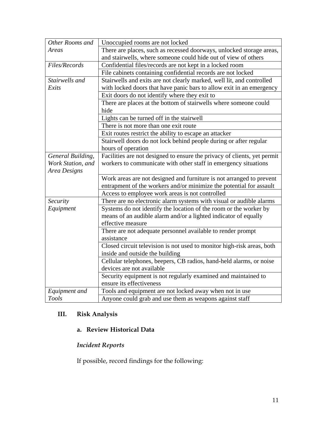| Other Rooms and   | Unoccupied rooms are not locked                                          |  |  |
|-------------------|--------------------------------------------------------------------------|--|--|
| Areas             | There are places, such as recessed doorways, unlocked storage areas,     |  |  |
|                   | and stairwells, where someone could hide out of view of others           |  |  |
| Files/Records     | Confidential files/records are not kept in a locked room                 |  |  |
|                   | File cabinets containing confidential records are not locked             |  |  |
| Stairwells and    | Stairwells and exits are not clearly marked, well lit, and controlled    |  |  |
| Exits             | with locked doors that have panic bars to allow exit in an emergency     |  |  |
|                   | Exit doors do not identify where they exit to                            |  |  |
|                   | There are places at the bottom of stairwells where someone could         |  |  |
|                   | hide                                                                     |  |  |
|                   | Lights can be turned off in the stairwell                                |  |  |
|                   | There is not more than one exit route                                    |  |  |
|                   | Exit routes restrict the ability to escape an attacker                   |  |  |
|                   | Stairwell doors do not lock behind people during or after regular        |  |  |
|                   | hours of operation                                                       |  |  |
| General Building, | Facilities are not designed to ensure the privacy of clients, yet permit |  |  |
| Work Station, and | workers to communicate with other staff in emergency situations          |  |  |
| Area Designs      |                                                                          |  |  |
|                   | Work areas are not designed and furniture is not arranged to prevent     |  |  |
|                   | entrapment of the workers and/or minimize the potential for assault      |  |  |
|                   | Access to employee work areas is not controlled                          |  |  |
| Security          | There are no electronic alarm systems with visual or audible alarms      |  |  |
| Equipment         | Systems do not identify the location of the room or the worker by        |  |  |
|                   | means of an audible alarm and/or a lighted indicator of equally          |  |  |
|                   | effective measure                                                        |  |  |
|                   | There are not adequate personnel available to render prompt              |  |  |
|                   | assistance                                                               |  |  |
|                   | Closed circuit television is not used to monitor high-risk areas, both   |  |  |
|                   | inside and outside the building                                          |  |  |
|                   | Cellular telephones, beepers, CB radios, hand-held alarms, or noise      |  |  |
|                   | devices are not available                                                |  |  |
|                   | Security equipment is not regularly examined and maintained to           |  |  |
|                   | ensure its effectiveness                                                 |  |  |
| Equipment and     | Tools and equipment are not locked away when not in use                  |  |  |
| <b>Tools</b>      | Anyone could grab and use them as weapons against staff                  |  |  |

## **III. Risk Analysis**

#### **a. Review Historical Data**

## *Incident Reports*

If possible, record findings for the following: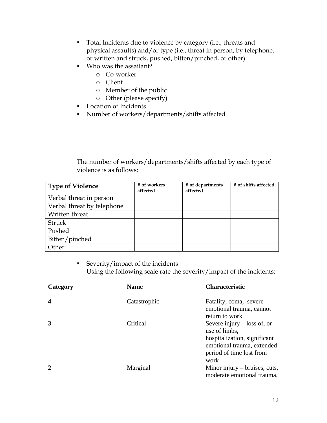- Total Incidents due to violence by category (i.e., threats and physical assaults) and/or type (i.e., threat in person, by telephone, or written and struck, pushed, bitten/pinched, or other)
- Who was the assailant?
	- o Co-worker
	- o Client
	- o Member of the public
	- o Other (please specify)
- **Location of Incidents**
- Number of workers/departments/shifts affected

The number of workers/departments/shifts affected by each type of violence is as follows:

| <b>Type of Violence</b>    | # of workers<br>affected | # of departments<br>affected | # of shifts affected |
|----------------------------|--------------------------|------------------------------|----------------------|
| Verbal threat in person    |                          |                              |                      |
| Verbal threat by telephone |                          |                              |                      |
| Written threat             |                          |                              |                      |
| Struck                     |                          |                              |                      |
| Pushed                     |                          |                              |                      |
| Bitten/pinched             |                          |                              |                      |
| Other                      |                          |                              |                      |

■ Severity/impact of the incidents Using the following scale rate the severity/impact of the incidents:

| Category                | <b>Name</b>  | <b>Characteristic</b>                                                                                                                            |
|-------------------------|--------------|--------------------------------------------------------------------------------------------------------------------------------------------------|
| $\overline{\mathbf{4}}$ | Catastrophic | Fatality, coma, severe<br>emotional trauma, cannot<br>return to work                                                                             |
| 3                       | Critical     | Severe injury $-$ loss of, or<br>use of limbs,<br>hospitalization, significant<br>emotional trauma, extended<br>period of time lost from<br>work |
| $\mathbf{2}$            | Marginal     | Minor injury – bruises, cuts,<br>moderate emotional trauma,                                                                                      |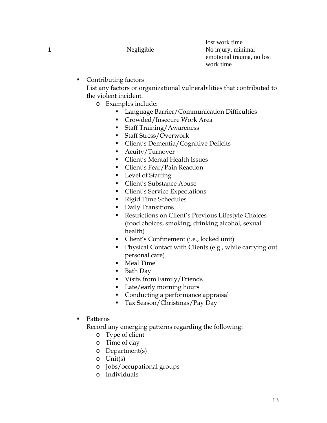lost work time **1** Negligible No injury, minimal emotional trauma, no lost work time

• Contributing factors

List any factors or organizational vulnerabilities that contributed to the violent incident.

- o Examples include:
	- **Language Barrier/Communication Difficulties**
	- Crowded/Insecure Work Area
	- Staff Training/Awareness
	- Staff Stress/Overwork
	- Client's Dementia/Cognitive Deficits
	- **Acuity/Turnover**
	- **Client's Mental Health Issues**
	- **Client's Fear/Pain Reaction**
	- Level of Staffing
	- Client's Substance Abuse
	- **Client's Service Expectations**
	- Rigid Time Schedules
	- **Daily Transitions**
	- **Restrictions on Client's Previous Lifestyle Choices** (food choices, smoking, drinking alcohol, sexual health)
	- Client's Confinement (i.e., locked unit)
	- Physical Contact with Clients (e.g., while carrying out personal care)
	- **Meal Time**
	- Bath Day
	- Visits from Family/Friends
	- Late/early morning hours
	- Conducting a performance appraisal
	- Tax Season/Christmas/Pay Day
- Patterns

Record any emerging patterns regarding the following:

- o Type of client
- o Time of day
- o Department(s)
- o Unit(s)
- o Jobs/occupational groups
- o Individuals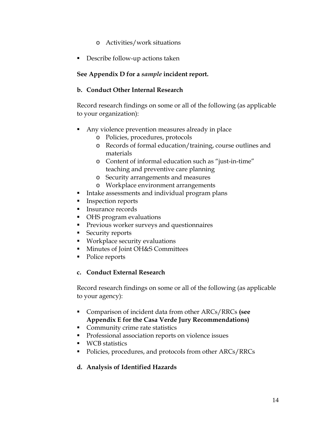- o Activities/work situations
- **Describe follow-up actions taken**

#### **See Appendix D for a** *sample* **incident report.**

#### **b. Conduct Other Internal Research**

Record research findings on some or all of the following (as applicable to your organization):

- Any violence prevention measures already in place
	- o Policies, procedures, protocols
	- o Records of formal education/training, course outlines and materials
	- o Content of informal education such as "just-in-time" teaching and preventive care planning
	- o Security arrangements and measures
	- o Workplace environment arrangements
- **Intake assessments and individual program plans**
- **Inspection reports**
- **Insurance records**
- **OHS** program evaluations
- **Previous worker surveys and questionnaires**
- **Security reports**
- **Workplace security evaluations**
- **Minutes of Joint OH&S Committees**
- Police reports

#### **c. Conduct External Research**

Record research findings on some or all of the following (as applicable to your agency):

- Comparison of incident data from other ARCs/RRCs **(see Appendix E for the Casa Verde Jury Recommendations)**
- **Community crime rate statistics**
- **Professional association reports on violence issues**
- **WCB** statistics
- Policies, procedures, and protocols from other ARCs/RRCs

#### **d. Analysis of Identified Hazards**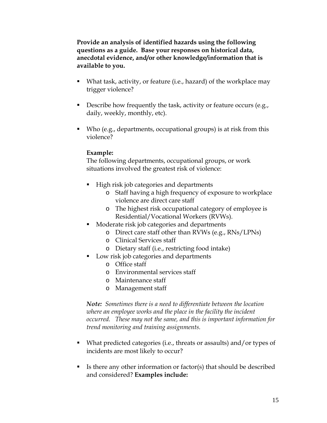**Provide an analysis of identified hazards using the following questions as a guide. Base your responses on historical data, anecdotal evidence, and/or other knowledge/information that is available to you.** 

- What task, activity, or feature (i.e., hazard) of the workplace may trigger violence?
- Describe how frequently the task, activity or feature occurs (e.g., daily, weekly, monthly, etc).
- Who (e.g., departments, occupational groups) is at risk from this violence?

#### **Example:**

The following departments, occupational groups, or work situations involved the greatest risk of violence:

- **High risk job categories and departments** 
	- o Staff having a high frequency of exposure to workplace violence are direct care staff
	- o The highest risk occupational category of employee is Residential/Vocational Workers (RVWs).
- **Moderate risk job categories and departments** 
	- o Direct care staff other than RVWs (e.g., RNs/LPNs)
	- o Clinical Services staff
	- o Dietary staff (i.e., restricting food intake)
- **Low risk job categories and departments** 
	- o Office staff
	- o Environmental services staff
	- o Maintenance staff
	- o Management staff

*Note: Sometimes there is a need to differentiate between the location where an employee works and the place in the facility the incident occurred. These may not the same, and this is important information for trend monitoring and training assignments.* 

- What predicted categories (i.e., threats or assaults) and/or types of incidents are most likely to occur?
- Is there any other information or factor(s) that should be described and considered? **Examples include:**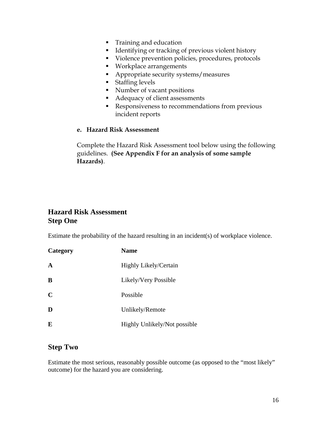- **Training and education**
- **IDENTIFY** Identifying or tracking of previous violent history
- Violence prevention policies, procedures, protocols
- **Workplace arrangements**
- **Appropriate security systems/measures**
- **Staffing levels**
- Number of vacant positions
- Adequacy of client assessments
- Responsiveness to recommendations from previous incident reports

#### **e. Hazard Risk Assessment**

Complete the Hazard Risk Assessment tool below using the following guidelines. **(See Appendix F for an analysis of some sample Hazards)**.

#### **Hazard Risk Assessment Step One**

Estimate the probability of the hazard resulting in an incident(s) of workplace violence.

| Category    | <b>Name</b>                  |
|-------------|------------------------------|
| $\mathbf A$ | <b>Highly Likely/Certain</b> |
| В           | Likely/Very Possible         |
| $\mathbf C$ | Possible                     |
| D           | Unlikely/Remote              |
| E           | Highly Unlikely/Not possible |

#### **Step Two**

Estimate the most serious, reasonably possible outcome (as opposed to the "most likely" outcome) for the hazard you are considering.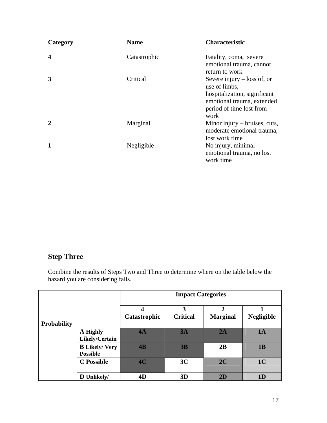| Category    | <b>Name</b>  | <b>Characteristic</b>                                                                                                                            |
|-------------|--------------|--------------------------------------------------------------------------------------------------------------------------------------------------|
| 4           | Catastrophic | Fatality, coma, severe<br>emotional trauma, cannot<br>return to work                                                                             |
| 3           | Critical     | Severe injury $-$ loss of, or<br>use of limbs,<br>hospitalization, significant<br>emotional trauma, extended<br>period of time lost from<br>work |
| $\mathbf 2$ | Marginal     | Minor injury $-$ bruises, cuts,<br>moderate emotional trauma,<br>lost work time                                                                  |
| 1           | Negligible   | No injury, minimal<br>emotional trauma, no lost<br>work time                                                                                     |

## **Step Three**

Combine the results of Steps Two and Three to determine where on the table below the hazard you are considering falls.

|                    |                                          |                   | <b>Impact Categories</b> |                                   |                   |  |
|--------------------|------------------------------------------|-------------------|--------------------------|-----------------------------------|-------------------|--|
| <b>Probability</b> |                                          | 4<br>Catastrophic | 3<br><b>Critical</b>     | $\overline{2}$<br><b>Marginal</b> | <b>Negligible</b> |  |
|                    | A Highly<br>Likely/Certain               | 4A                | 3A                       | 2A                                | 1A                |  |
|                    | <b>B</b> Likely/ Very<br><b>Possible</b> | 4B                | 3B                       | 2B                                | 1B                |  |
|                    | <b>C</b> Possible                        | 4C                | 3C                       | 2C                                | 1 <sub>C</sub>    |  |
|                    | D Unlikely/                              | 4D                | 3D                       | 2D                                | 1 <sub>D</sub>    |  |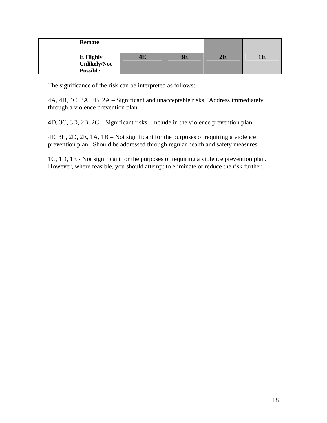| <b>Remote</b>                                      |    |           |    |  |
|----------------------------------------------------|----|-----------|----|--|
| E Highly<br><b>Unlikely/Not</b><br><b>Possible</b> | 4Е | <b>3E</b> | 2E |  |

The significance of the risk can be interpreted as follows:

4A, 4B, 4C, 3A, 3B, 2A – Significant and unacceptable risks. Address immediately through a violence prevention plan.

4D, 3C, 3D, 2B, 2C – Significant risks. Include in the violence prevention plan.

4E, 3E, 2D, 2E, 1A, 1B – Not significant for the purposes of requiring a violence prevention plan. Should be addressed through regular health and safety measures.

1C, 1D, 1E - Not significant for the purposes of requiring a violence prevention plan. However, where feasible, you should attempt to eliminate or reduce the risk further.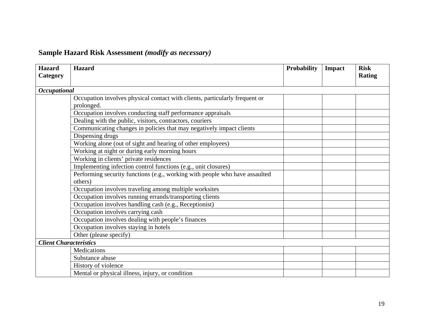## **Sample Hazard Risk Assessment** *(modify as necessary)*

| <b>Hazard</b><br>Category     | <b>Hazard</b>                                                               | <b>Probability</b> | Impact | <b>Risk</b><br><b>Rating</b> |
|-------------------------------|-----------------------------------------------------------------------------|--------------------|--------|------------------------------|
|                               |                                                                             |                    |        |                              |
| <b>Occupational</b>           |                                                                             |                    |        |                              |
|                               | Occupation involves physical contact with clients, particularly frequent or |                    |        |                              |
|                               | prolonged.                                                                  |                    |        |                              |
|                               | Occupation involves conducting staff performance appraisals                 |                    |        |                              |
|                               | Dealing with the public, visitors, contractors, couriers                    |                    |        |                              |
|                               | Communicating changes in policies that may negatively impact clients        |                    |        |                              |
|                               | Dispensing drugs                                                            |                    |        |                              |
|                               | Working alone (out of sight and hearing of other employees)                 |                    |        |                              |
|                               | Working at night or during early morning hours                              |                    |        |                              |
|                               | Working in clients' private residences                                      |                    |        |                              |
|                               | Implementing infection control functions (e.g., unit closures)              |                    |        |                              |
|                               | Performing security functions (e.g., working with people who have assaulted |                    |        |                              |
|                               | others)                                                                     |                    |        |                              |
|                               | Occupation involves traveling among multiple worksites                      |                    |        |                              |
|                               | Occupation involves running errands/transporting clients                    |                    |        |                              |
|                               | Occupation involves handling cash (e.g., Receptionist)                      |                    |        |                              |
|                               | Occupation involves carrying cash                                           |                    |        |                              |
|                               | Occupation involves dealing with people's finances                          |                    |        |                              |
|                               | Occupation involves staying in hotels                                       |                    |        |                              |
|                               | Other (please specify)                                                      |                    |        |                              |
| <b>Client Characteristics</b> |                                                                             |                    |        |                              |
|                               | Medications                                                                 |                    |        |                              |
|                               | Substance abuse                                                             |                    |        |                              |
|                               | History of violence                                                         |                    |        |                              |
|                               | Mental or physical illness, injury, or condition                            |                    |        |                              |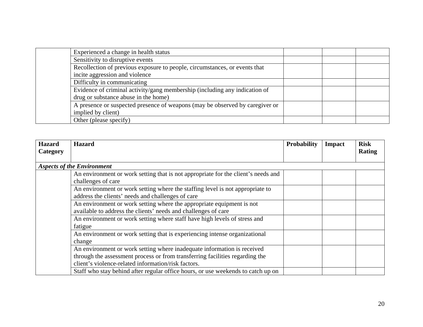| Experienced a change in health status                                        |  |  |
|------------------------------------------------------------------------------|--|--|
| Sensitivity to disruptive events                                             |  |  |
| Recollection of previous exposure to people, circumstances, or events that   |  |  |
| incite aggression and violence                                               |  |  |
| Difficulty in communicating                                                  |  |  |
| Evidence of criminal activity/gang membership (including any indication of   |  |  |
| drug or substance abuse in the home)                                         |  |  |
| A presence or suspected presence of weapons (may be observed by caregiver or |  |  |
| implied by client)                                                           |  |  |
| Other (please specify)                                                       |  |  |

| <b>Hazard</b> | <b>Hazard</b>                                                                     | Probability | <b>Impact</b> | <b>Risk</b>   |
|---------------|-----------------------------------------------------------------------------------|-------------|---------------|---------------|
| Category      |                                                                                   |             |               | <b>Rating</b> |
|               | <b>Aspects of the Environment</b>                                                 |             |               |               |
|               | An environment or work setting that is not appropriate for the client's needs and |             |               |               |
|               | challenges of care                                                                |             |               |               |
|               | An environment or work setting where the staffing level is not appropriate to     |             |               |               |
|               | address the clients' needs and challenges of care                                 |             |               |               |
|               | An environment or work setting where the appropriate equipment is not             |             |               |               |
|               | available to address the clients' needs and challenges of care                    |             |               |               |
|               | An environment or work setting where staff have high levels of stress and         |             |               |               |
|               | fatigue                                                                           |             |               |               |
|               | An environment or work setting that is experiencing intense organizational        |             |               |               |
|               | change                                                                            |             |               |               |
|               | An environment or work setting where inadequate information is received           |             |               |               |
|               | through the assessment process or from transferring facilities regarding the      |             |               |               |
|               | client's violence-related information/risk factors.                               |             |               |               |
|               | Staff who stay behind after regular office hours, or use weekends to catch up on  |             |               |               |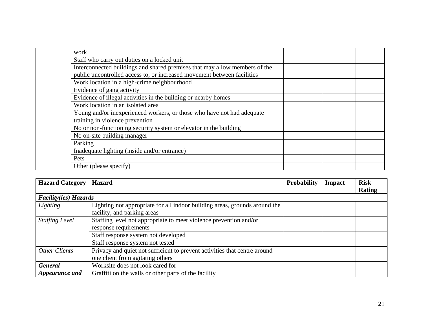| work |                                                                            |  |  |
|------|----------------------------------------------------------------------------|--|--|
|      | Staff who carry out duties on a locked unit                                |  |  |
|      | Interconnected buildings and shared premises that may allow members of the |  |  |
|      | public uncontrolled access to, or increased movement between facilities    |  |  |
|      | Work location in a high-crime neighbourhood                                |  |  |
|      | Evidence of gang activity                                                  |  |  |
|      | Evidence of illegal activities in the building or nearby homes             |  |  |
|      | Work location in an isolated area                                          |  |  |
|      | Young and/or inexperienced workers, or those who have not had adequate     |  |  |
|      | training in violence prevention                                            |  |  |
|      | No or non-functioning security system or elevator in the building          |  |  |
|      | No on-site building manager                                                |  |  |
|      | Parking                                                                    |  |  |
|      | Inadequate lighting (inside and/or entrance)                               |  |  |
| Pets |                                                                            |  |  |
|      | Other (please specify)                                                     |  |  |

| <b>Hazard Category</b>       | <b>Hazard</b>                                                              | <b>Probability</b> | <b>Impact</b> | <b>Risk</b> |
|------------------------------|----------------------------------------------------------------------------|--------------------|---------------|-------------|
|                              |                                                                            |                    |               | Rating      |
| <b>Facility(ies) Hazards</b> |                                                                            |                    |               |             |
| Lighting                     | Lighting not appropriate for all indoor building areas, grounds around the |                    |               |             |
|                              | facility, and parking areas                                                |                    |               |             |
| <b>Staffing Level</b>        | Staffing level not appropriate to meet violence prevention and/or          |                    |               |             |
|                              | response requirements                                                      |                    |               |             |
|                              | Staff response system not developed                                        |                    |               |             |
|                              | Staff response system not tested                                           |                    |               |             |
| Other Clients                | Privacy and quiet not sufficient to prevent activities that centre around  |                    |               |             |
|                              | one client from agitating others                                           |                    |               |             |
| <b>General</b>               | Worksite does not look cared for                                           |                    |               |             |
| Appearance and               | Graffiti on the walls or other parts of the facility                       |                    |               |             |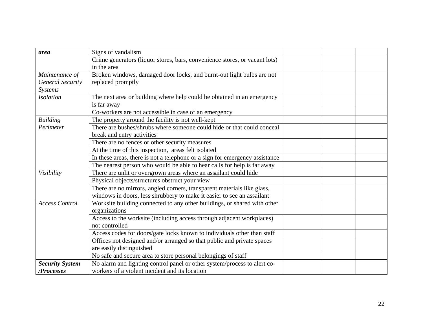| area                    | Signs of vandalism                                                          |  |  |
|-------------------------|-----------------------------------------------------------------------------|--|--|
|                         | Crime generators (liquor stores, bars, convenience stores, or vacant lots)  |  |  |
|                         | in the area                                                                 |  |  |
| Maintenance of          | Broken windows, damaged door locks, and burnt-out light bulbs are not       |  |  |
| <b>General Security</b> | replaced promptly                                                           |  |  |
| Systems                 |                                                                             |  |  |
| <b>Isolation</b>        | The next area or building where help could be obtained in an emergency      |  |  |
|                         | is far away                                                                 |  |  |
|                         | Co-workers are not accessible in case of an emergency                       |  |  |
| <b>Building</b>         | The property around the facility is not well-kept                           |  |  |
| Perimeter               | There are bushes/shrubs where someone could hide or that could conceal      |  |  |
|                         | break and entry activities                                                  |  |  |
|                         | There are no fences or other security measures                              |  |  |
|                         | At the time of this inspection, areas felt isolated                         |  |  |
|                         | In these areas, there is not a telephone or a sign for emergency assistance |  |  |
|                         | The nearest person who would be able to hear calls for help is far away     |  |  |
| Visibility              | There are unlit or overgrown areas where an assailant could hide            |  |  |
|                         | Physical objects/structures obstruct your view                              |  |  |
|                         | There are no mirrors, angled corners, transparent materials like glass,     |  |  |
|                         | windows in doors, less shrubbery to make it easier to see an assailant      |  |  |
| <b>Access Control</b>   | Worksite building connected to any other buildings, or shared with other    |  |  |
|                         | organizations                                                               |  |  |
|                         | Access to the worksite (including access through adjacent workplaces)       |  |  |
|                         | not controlled                                                              |  |  |
|                         | Access codes for doors/gate locks known to individuals other than staff     |  |  |
|                         | Offices not designed and/or arranged so that public and private spaces      |  |  |
|                         | are easily distinguished                                                    |  |  |
|                         | No safe and secure area to store personal belongings of staff               |  |  |
| <b>Security System</b>  | No alarm and lighting control panel or other system/process to alert co-    |  |  |
| /Processes              | workers of a violent incident and its location                              |  |  |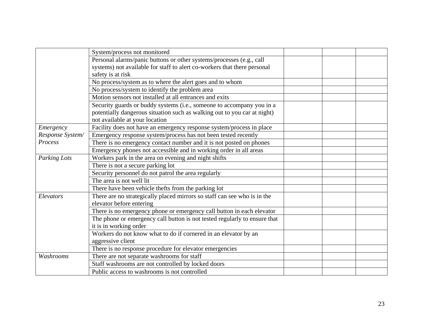|                  | System/process not monitored                                              |  |  |
|------------------|---------------------------------------------------------------------------|--|--|
|                  | Personal alarms/panic buttons or other systems/processes (e.g., call      |  |  |
|                  | systems) not available for staff to alert co-workers that there personal  |  |  |
|                  | safety is at risk                                                         |  |  |
|                  | No process/system as to where the alert goes and to whom                  |  |  |
|                  | No process/system to identify the problem area                            |  |  |
|                  | Motion sensors not installed at all entrances and exits                   |  |  |
|                  | Security guards or buddy systems (i.e., someone to accompany you in a     |  |  |
|                  | potentially dangerous situation such as walking out to you car at night)  |  |  |
|                  | not available at your location                                            |  |  |
| Emergency        | Facility does not have an emergency response system/process in place      |  |  |
| Response System/ | Emergency response system/process has not been tested recently            |  |  |
| Process          | There is no emergency contact number and it is not posted on phones       |  |  |
|                  | Emergency phones not accessible and in working order in all areas         |  |  |
| Parking Lots     | Workers park in the area on evening and night shifts                      |  |  |
|                  | There is not a secure parking lot                                         |  |  |
|                  | Security personnel do not patrol the area regularly                       |  |  |
|                  | The area is not well lit                                                  |  |  |
|                  | There have been vehicle thefts from the parking lot                       |  |  |
| Elevators        | There are no strategically placed mirrors so staff can see who is in the  |  |  |
|                  | elevator before entering                                                  |  |  |
|                  | There is no emergency phone or emergency call button in each elevator     |  |  |
|                  | The phone or emergency call button is not tested regularly to ensure that |  |  |
|                  | it is in working order                                                    |  |  |
|                  | Workers do not know what to do if cornered in an elevator by an           |  |  |
|                  | aggressive client                                                         |  |  |
|                  | There is no response procedure for elevator emergencies                   |  |  |
| Washrooms        | There are not separate washrooms for staff                                |  |  |
|                  | Staff washrooms are not controlled by locked doors                        |  |  |
|                  | Public access to washrooms is not controlled                              |  |  |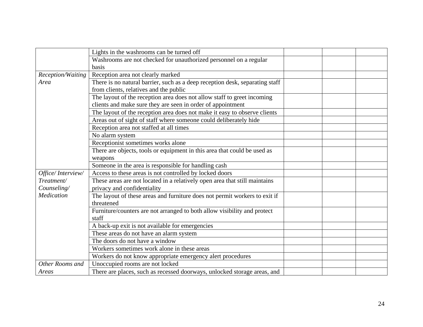|                   | Lights in the washrooms can be turned off                                    |  |  |
|-------------------|------------------------------------------------------------------------------|--|--|
|                   | Washrooms are not checked for unauthorized personnel on a regular            |  |  |
|                   | basis                                                                        |  |  |
| Reception/Waiting | Reception area not clearly marked                                            |  |  |
| Area              | There is no natural barrier, such as a deep reception desk, separating staff |  |  |
|                   | from clients, relatives and the public                                       |  |  |
|                   | The layout of the reception area does not allow staff to greet incoming      |  |  |
|                   | clients and make sure they are seen in order of appointment                  |  |  |
|                   | The layout of the reception area does not make it easy to observe clients    |  |  |
|                   | Areas out of sight of staff where someone could deliberately hide            |  |  |
|                   | Reception area not staffed at all times                                      |  |  |
|                   | No alarm system                                                              |  |  |
|                   | Receptionist sometimes works alone                                           |  |  |
|                   | There are objects, tools or equipment in this area that could be used as     |  |  |
|                   | weapons                                                                      |  |  |
|                   | Someone in the area is responsible for handling cash                         |  |  |
| Office/Interview/ | Access to these areas is not controlled by locked doors                      |  |  |
| Treatment/        | These areas are not located in a relatively open area that still maintains   |  |  |
| Counseling/       | privacy and confidentiality                                                  |  |  |
| Medication        | The layout of these areas and furniture does not permit workers to exit if   |  |  |
|                   | threatened                                                                   |  |  |
|                   | Furniture/counters are not arranged to both allow visibility and protect     |  |  |
|                   | staff                                                                        |  |  |
|                   | A back-up exit is not available for emergencies                              |  |  |
|                   | These areas do not have an alarm system                                      |  |  |
|                   | The doors do not have a window                                               |  |  |
|                   | Workers sometimes work alone in these areas                                  |  |  |
|                   | Workers do not know appropriate emergency alert procedures                   |  |  |
| Other Rooms and   | Unoccupied rooms are not locked                                              |  |  |
| Areas             | There are places, such as recessed doorways, unlocked storage areas, and     |  |  |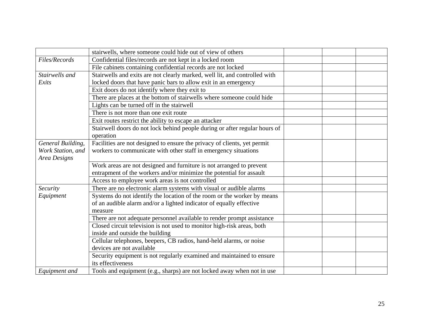|                   | stairwells, where someone could hide out of view of others                 |  |  |
|-------------------|----------------------------------------------------------------------------|--|--|
| Files/Records     | Confidential files/records are not kept in a locked room                   |  |  |
|                   | File cabinets containing confidential records are not locked               |  |  |
| Stairwells and    | Stairwells and exits are not clearly marked, well lit, and controlled with |  |  |
| Exits             | locked doors that have panic bars to allow exit in an emergency            |  |  |
|                   | Exit doors do not identify where they exit to                              |  |  |
|                   | There are places at the bottom of stairwells where someone could hide      |  |  |
|                   | Lights can be turned off in the stairwell                                  |  |  |
|                   | There is not more than one exit route                                      |  |  |
|                   | Exit routes restrict the ability to escape an attacker                     |  |  |
|                   | Stairwell doors do not lock behind people during or after regular hours of |  |  |
|                   | operation                                                                  |  |  |
| General Building, | Facilities are not designed to ensure the privacy of clients, yet permit   |  |  |
| Work Station, and | workers to communicate with other staff in emergency situations            |  |  |
| Area Designs      |                                                                            |  |  |
|                   | Work areas are not designed and furniture is not arranged to prevent       |  |  |
|                   | entrapment of the workers and/or minimize the potential for assault        |  |  |
|                   | Access to employee work areas is not controlled                            |  |  |
| Security          | There are no electronic alarm systems with visual or audible alarms        |  |  |
| Equipment         | Systems do not identify the location of the room or the worker by means    |  |  |
|                   | of an audible alarm and/or a lighted indicator of equally effective        |  |  |
|                   | measure                                                                    |  |  |
|                   | There are not adequate personnel available to render prompt assistance     |  |  |
|                   | Closed circuit television is not used to monitor high-risk areas, both     |  |  |
|                   | inside and outside the building                                            |  |  |
|                   | Cellular telephones, beepers, CB radios, hand-held alarms, or noise        |  |  |
|                   | devices are not available                                                  |  |  |
|                   | Security equipment is not regularly examined and maintained to ensure      |  |  |
|                   | its effectiveness                                                          |  |  |
| Equipment and     | Tools and equipment (e.g., sharps) are not locked away when not in use     |  |  |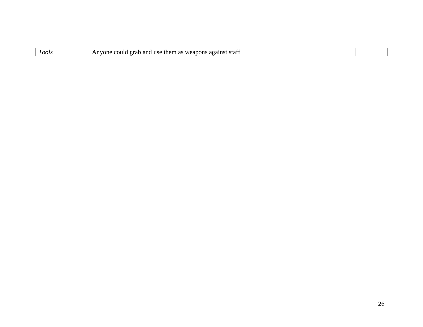| $\sqrt{2}$<br>I oots | etott<br>use<br>ano<br>_weanons<br>n a<br>orat<br>ີ<br>them<br>one<br>•они -<br>sia.<br>L 43<br>. ау |  |  |
|----------------------|------------------------------------------------------------------------------------------------------|--|--|
|                      |                                                                                                      |  |  |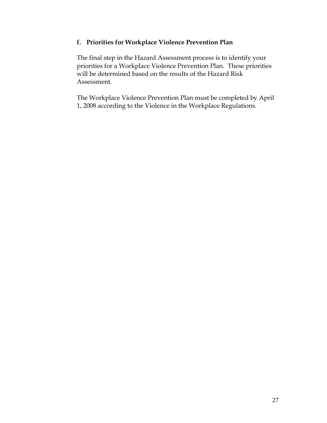#### **f. Priorities for Workplace Violence Prevention Plan**

The final step in the Hazard Assessment process is to identify your priorities for a Workplace Violence Prevention Plan. These priorities will be determined based on the results of the Hazard Risk Assessment.

The Workplace Violence Prevention Plan must be completed by April 1, 2008 according to the Violence in the Workplace Regulations.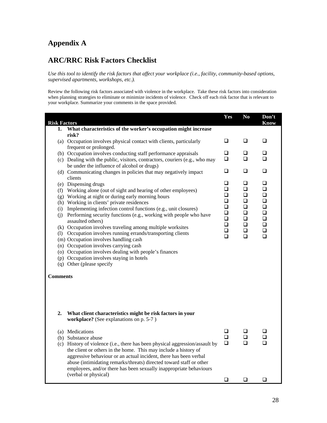### **Appendix A**

### **ARC/RRC Risk Factors Checklist**

*Use this tool to identify the risk factors that affect your workplace (i.e., facility, community-based options, supervised apartments, workshops, etc.).* 

Review the following risk factors associated with violence in the workplace. Take these risk factors into consideration when planning strategies to eliminate or minimize incidents of violence. Check off each risk factor that is relevant to your workplace. Summarize your comments in the space provided.

| <b>Risk Factors</b> |                                                                                                  | Yes              | N <sub>0</sub> | Don't<br><b>Know</b> |
|---------------------|--------------------------------------------------------------------------------------------------|------------------|----------------|----------------------|
| 1.                  | What characteristics of the worker's occupation might increase                                   |                  |                |                      |
|                     | risk?                                                                                            |                  |                |                      |
|                     | (a) Occupation involves physical contact with clients, particularly                              | ❏                | ❏              | ❏                    |
|                     | frequent or prolonged.                                                                           |                  |                |                      |
|                     | (b) Occupation involves conducting staff performance appraisals                                  | ❏                | ⊔              | ⊔                    |
|                     | (c) Dealing with the public, visitors, contractors, couriers (e.g., who may                      | ❏                | $\Box$         | □                    |
|                     | be under the influence of alcohol or drugs)                                                      |                  |                |                      |
|                     | (d) Communicating changes in policies that may negatively impact                                 | ❏                | ❏              | ❏                    |
|                     | clients                                                                                          | ❏                | ❏              | □                    |
|                     | (e) Dispensing drugs                                                                             | □                | $\Box$         | $\Box$               |
|                     | (f) Working alone (out of sight and hearing of other employees)                                  | ❏                | $\Box$         | ❏                    |
|                     | (g) Working at night or during early morning hours<br>(h) Working in clients' private residences | ❏                | $\Box$         | $\Box$               |
|                     | (i) Implementing infection control functions (e.g., unit closures)                               | ❏                | ❏              | ❏                    |
|                     | (j) Performing security functions (e.g., working with people who have                            | $\Box$           | $\Box$         | $\Box$               |
|                     | assaulted others)                                                                                | ❏                | ❏              | $\Box$               |
|                     | (k) Occupation involves traveling among multiple worksites                                       | $\Box$           | $\Box$         | $\Box$               |
|                     | (1) Occupation involves running errands/transporting clients                                     | $\Box$<br>$\Box$ | $\Box$         | $\Box$<br>$\Box$     |
|                     | (m) Occupation involves handling cash                                                            |                  | $\Box$         |                      |
|                     | (n) Occupation involves carrying cash                                                            |                  |                |                      |
|                     | (o) Occupation involves dealing with people's finances                                           |                  |                |                      |
|                     | (p) Occupation involves staying in hotels                                                        |                  |                |                      |
|                     | (q) Other (please specify                                                                        |                  |                |                      |
| <b>Comments</b>     |                                                                                                  |                  |                |                      |
| $\overline{2}$ .    | What client characteristics might be risk factors in your                                        |                  |                |                      |
|                     | workplace? (See explanations on p. 5-7)                                                          |                  |                |                      |
|                     | (a) Medications                                                                                  | ❏                | ❏              | ❏                    |
|                     | (b) Substance abuse                                                                              | ◻                | ❏              | ❏                    |
|                     | (c) History of violence (i.e., there has been physical aggression/assault by                     | $\Box$           | $\Box$         | $\Box$               |
|                     | the client or others in the home. This may include a history of                                  |                  |                |                      |
|                     | aggressive behaviour or an actual incident, there has been verbal                                |                  |                |                      |
|                     | abuse (intimidating remarks/threats) directed toward staff or other                              |                  |                |                      |
|                     | employees, and/or there has been sexually inappropriate behaviours<br>(verbal or physical)       |                  |                |                      |
|                     |                                                                                                  | ❏                | ❏              | ❏                    |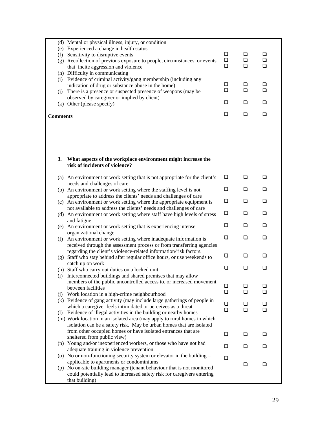|                 | (d) Mental or physical illness, injury, or condition                                           |        |        |          |
|-----------------|------------------------------------------------------------------------------------------------|--------|--------|----------|
|                 | (e) Experienced a change in health status                                                      |        |        |          |
|                 | (f) Sensitivity to disruptive events                                                           | $\Box$ | $\Box$ | ❏        |
|                 | (g) Recollection of previous exposure to people, circumstances, or events                      | $\Box$ | $\Box$ | $\Box$   |
|                 | that incite aggression and violence                                                            | $\Box$ | $\Box$ | $\Box$   |
|                 | (h) Difficulty in communicating                                                                |        |        |          |
|                 |                                                                                                |        |        |          |
|                 | (i) Evidence of criminal activity/gang membership (including any                               |        |        |          |
|                 | indication of drug or substance abuse in the home)                                             | ⊔      | ❏      | u        |
| (j)             | There is a presence or suspected presence of weapons (may be                                   | $\Box$ | $\Box$ | <b>□</b> |
|                 | observed by caregiver or implied by client)                                                    |        |        |          |
|                 | (k) Other (please specify)                                                                     | ❏      | □      | ◻        |
|                 |                                                                                                |        |        |          |
| <b>Comments</b> |                                                                                                | ❏      | ❏      | $\Box$   |
|                 |                                                                                                |        |        |          |
|                 |                                                                                                |        |        |          |
|                 |                                                                                                |        |        |          |
| 3.              | What aspects of the workplace environment might increase the<br>risk of incidents of violence? |        |        |          |
|                 |                                                                                                |        |        |          |
|                 | (a) An environment or work setting that is not appropriate for the client's                    | ⊔      | ❏      | ❏        |
|                 | needs and challenges of care                                                                   |        |        |          |
|                 | (b) An environment or work setting where the staffing level is not                             | $\Box$ | $\Box$ | ❏        |
|                 | appropriate to address the clients' needs and challenges of care                               |        |        |          |
|                 | (c) An environment or work setting where the appropriate equipment is                          | $\Box$ | $\Box$ | $\Box$   |
|                 | not available to address the clients' needs and challenges of care                             |        |        |          |
|                 |                                                                                                | $\Box$ | $\Box$ | $\Box$   |
|                 | (d) An environment or work setting where staff have high levels of stress                      |        |        |          |
|                 | and fatigue                                                                                    |        | ❏      | $\Box$   |
|                 | (e) An environment or work setting that is experiencing intense                                | ⊔      |        |          |
|                 | organizational change                                                                          |        |        |          |
| (f)             | An environment or work setting where inadequate information is                                 | ❏      | ❏      | ❏        |
|                 | received through the assessment process or from transferring agencies                          |        |        |          |
|                 | regarding the client's violence-related information/risk factors.                              |        |        |          |
|                 | (g) Staff who stay behind after regular office hours, or use weekends to                       | ❏      | ❏      | $\Box$   |
|                 | catch up on work                                                                               |        |        |          |
|                 | (h) Staff who carry out duties on a locked unit                                                | $\Box$ | $\Box$ | ❏        |
| (i)             | Interconnected buildings and shared premises that may allow                                    |        |        |          |
|                 | members of the public uncontrolled access to, or increased movement                            |        |        |          |
|                 | between facilities                                                                             | ⊔      | ப      | ப        |
| (i)             | Work location in a high-crime neighbourhood                                                    | ❏      | □      | ◻        |
|                 | (k) Evidence of gang activity (may include large gatherings of people in                       |        |        |          |
|                 | which a caregiver feels intimidated or perceives as a threat                                   | ❏      | ⊔      | ⊔        |
|                 |                                                                                                | □      | □      | □        |
|                 | (1) Evidence of illegal activities in the building or nearby homes                             |        |        |          |
|                 | (m) Work location in an isolated area (may apply to rural homes in which                       |        |        |          |
|                 | isolation can be a safety risk. May be urban homes that are isolated                           |        |        |          |
|                 | from other occupied homes or have isolated entrances that are                                  | ⊔      | ⊔      | ⊔        |
|                 | sheltered from public view)                                                                    |        |        |          |
|                 | (n) Young and/or inexperienced workers, or those who have not had                              | ❏      | ❏      | ❏        |
|                 | adequate training in violence prevention                                                       |        |        |          |
|                 | (o) No or non-functioning security system or elevator in the building $-$                      | □      |        |          |
|                 | applicable to apartments or condominiums                                                       |        | □      | ❏        |
|                 | (p) No on-site building manager (tenant behaviour that is not monitored                        |        |        |          |
|                 | could potentially lead to increased safety risk for caregivers entering                        |        |        |          |
|                 | that building)                                                                                 |        |        |          |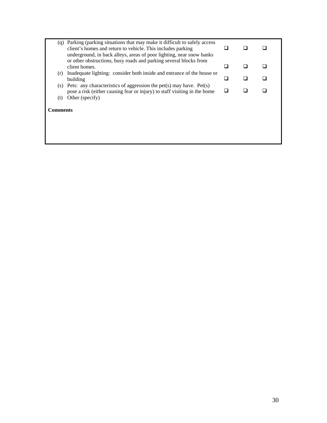|            | (q) Parking (parking situations that may make it difficult to safely access<br>client's homes and return to vehicle. This includes parking<br>underground, in back alleys, areas of poor lighting, near snow banks | l I |  |
|------------|--------------------------------------------------------------------------------------------------------------------------------------------------------------------------------------------------------------------|-----|--|
|            | or other obstructions, busy roads and parking several blocks from<br>client homes.                                                                                                                                 | H   |  |
| (r)        | Inadequate lighting: consider both inside and entrance of the house or<br>building                                                                                                                                 |     |  |
| (S)<br>(t) | Pets: any characteristics of aggression the pet(s) may have. Pet(s)<br>pose a risk (either causing fear or injury) to staff visiting in the home<br>Other (specify)                                                | n   |  |
| Comments   |                                                                                                                                                                                                                    |     |  |
|            |                                                                                                                                                                                                                    |     |  |
|            |                                                                                                                                                                                                                    |     |  |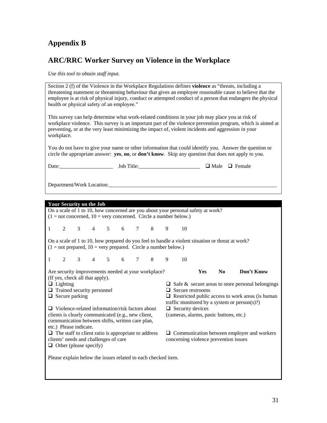## **Appendix B**

## **ARC/RRC Worker Survey on Violence in the Workplace**

*Use this tool to obtain staff input.* 

| Section 2 (f) of the Violence in the Workplace Regulations defines <b>violence</b> as "threats, including a<br>threatening statement or threatening behaviour that gives an employee reasonable cause to believe that the<br>employee is at risk of physical injury, conduct or attempted conduct of a person that endangers the physical<br>health or physical safety of an employee."<br>This survey can help determine what work-related conditions in your job may place you at risk of<br>workplace violence. This survey is an important part of the violence prevention program, which is aimed at<br>preventing, or at the very least minimizing the impact of, violent incidents and aggression in your<br>workplace. |                                                               |  |             |  |  |  |     |    |                                                                                  |                                                                                                  |                                                                       |
|--------------------------------------------------------------------------------------------------------------------------------------------------------------------------------------------------------------------------------------------------------------------------------------------------------------------------------------------------------------------------------------------------------------------------------------------------------------------------------------------------------------------------------------------------------------------------------------------------------------------------------------------------------------------------------------------------------------------------------|---------------------------------------------------------------|--|-------------|--|--|--|-----|----|----------------------------------------------------------------------------------|--------------------------------------------------------------------------------------------------|-----------------------------------------------------------------------|
| You do not have to give your name or other information that could identify you. Answer the question or<br>circle the appropriate answer: yes, no, or don't know. Skip any question that does not apply to you.                                                                                                                                                                                                                                                                                                                                                                                                                                                                                                                 |                                                               |  |             |  |  |  |     |    |                                                                                  |                                                                                                  |                                                                       |
|                                                                                                                                                                                                                                                                                                                                                                                                                                                                                                                                                                                                                                                                                                                                |                                                               |  |             |  |  |  |     |    |                                                                                  | Date: John Title: John Title: John Title: John Title: John Male D Female                         |                                                                       |
|                                                                                                                                                                                                                                                                                                                                                                                                                                                                                                                                                                                                                                                                                                                                |                                                               |  |             |  |  |  |     |    |                                                                                  |                                                                                                  |                                                                       |
| <b>Your Security on the Job</b>                                                                                                                                                                                                                                                                                                                                                                                                                                                                                                                                                                                                                                                                                                |                                                               |  |             |  |  |  |     |    |                                                                                  |                                                                                                  |                                                                       |
|                                                                                                                                                                                                                                                                                                                                                                                                                                                                                                                                                                                                                                                                                                                                |                                                               |  |             |  |  |  |     |    | On a scale of 1 to 10, how concerned are you about your personal safety at work? |                                                                                                  |                                                                       |
| $(1 = not concerned, 10 = very concerned. Circle a number below.)$                                                                                                                                                                                                                                                                                                                                                                                                                                                                                                                                                                                                                                                             |                                                               |  |             |  |  |  |     |    |                                                                                  |                                                                                                  |                                                                       |
| 1                                                                                                                                                                                                                                                                                                                                                                                                                                                                                                                                                                                                                                                                                                                              | $3^{\circ}$<br>2                                              |  | 4 5 6 7 8 9 |  |  |  |     | 10 |                                                                                  |                                                                                                  |                                                                       |
| $(1 = not prepared, 10 = very prepared. Circle a number below.)$                                                                                                                                                                                                                                                                                                                                                                                                                                                                                                                                                                                                                                                               |                                                               |  |             |  |  |  |     |    |                                                                                  | On a scale of 1 to 10, how prepared do you feel to handle a violent situation or threat at work? |                                                                       |
| 2<br>1                                                                                                                                                                                                                                                                                                                                                                                                                                                                                                                                                                                                                                                                                                                         | 3                                                             |  | 4 5 6 7     |  |  |  | 8 9 | 10 |                                                                                  |                                                                                                  |                                                                       |
| Are security improvements needed at your workplace?<br>(If yes, check all that apply).<br>$\Box$ Lighting<br>$\Box$ Trained security personnel                                                                                                                                                                                                                                                                                                                                                                                                                                                                                                                                                                                 |                                                               |  |             |  |  |  |     |    | Yes<br>$\Box$ Secure restrooms                                                   | N <sub>0</sub>                                                                                   | Don't Know<br>$\Box$ Safe & secure areas to store personal belongings |
| $\Box$ Secure parking                                                                                                                                                                                                                                                                                                                                                                                                                                                                                                                                                                                                                                                                                                          |                                                               |  |             |  |  |  |     |    |                                                                                  |                                                                                                  | $\Box$ Restricted public access to work areas (is human               |
|                                                                                                                                                                                                                                                                                                                                                                                                                                                                                                                                                                                                                                                                                                                                |                                                               |  |             |  |  |  |     |    |                                                                                  |                                                                                                  | traffic monitored by a system or $person(s)$ ?)                       |
| $\Box$ Violence-related information/risk factors about<br>$\Box$ Security devices<br>clients is clearly communicated (e.g., new client,<br>(cameras, alarms, panic buttons, etc.)<br>communication between shifts, written care plan,<br>etc.) Please indicate.                                                                                                                                                                                                                                                                                                                                                                                                                                                                |                                                               |  |             |  |  |  |     |    |                                                                                  |                                                                                                  |                                                                       |
| $\Box$ The staff to client ratio is appropriate to address<br>clients' needs and challenges of care<br>$\Box$ Other (please specify)                                                                                                                                                                                                                                                                                                                                                                                                                                                                                                                                                                                           |                                                               |  |             |  |  |  |     |    |                                                                                  | concerning violence prevention issues                                                            | $\Box$ Communication between employer and workers                     |
|                                                                                                                                                                                                                                                                                                                                                                                                                                                                                                                                                                                                                                                                                                                                | Please explain below the issues related to each checked item. |  |             |  |  |  |     |    |                                                                                  |                                                                                                  |                                                                       |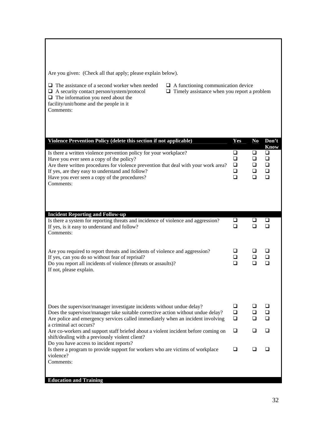Are you given: (Check all that apply; please explain below).

- 
- 
- 
- $\Box$  The assistance of a second worker when needed  $\Box$  A functioning communication device  $\Box$  A security contact person/system/protocol  $\Box$  Timely assistance when you report a p
	- $\Box$  Timely assistance when you report a problem

 $\Box$  The information you need about the

facility/unit/home and the people in it Comments:

| Violence Prevention Policy (delete this section if not applicable)                                                                                                                                                                                                                                                   | Yes                                       | N <sub>0</sub>                       | Don't<br><b>Know</b>                           |
|----------------------------------------------------------------------------------------------------------------------------------------------------------------------------------------------------------------------------------------------------------------------------------------------------------------------|-------------------------------------------|--------------------------------------|------------------------------------------------|
| Is there a written violence prevention policy for your workplace?<br>Have you ever seen a copy of the policy?<br>Are there written procedures for violence prevention that deal with your work area?<br>If yes, are they easy to understand and follow?<br>Have you ever seen a copy of the procedures?<br>Comments: | $\Box$<br>$\Box$<br>$\Box$<br>❏<br>$\Box$ | $\Box$<br>$\Box$<br>$\Box$<br>❏<br>□ | $\Box$<br>$\Box$<br>$\Box$<br>$\Box$<br>$\Box$ |
| <b>Incident Reporting and Follow-up</b><br>Is there a system for reporting threats and incidence of violence and aggression?<br>If yes, is it easy to understand and follow?<br>Comments:                                                                                                                            | $\Box$<br>□                               | ❏<br>◻                               | ❏<br>□                                         |
| Are you required to report threats and incidents of violence and aggression?<br>If yes, can you do so without fear of reprisal?<br>Do you report all incidents of violence (threats or assaults)?<br>If not, please explain.                                                                                         | ◻<br>□<br>□                               | ◻<br>◻<br>□                          | ◻<br>□<br>□                                    |
| Does the supervisor/manager investigate incidents without undue delay?<br>Does the supervisor/manager take suitable corrective action without undue delay?<br>Are police and emergency services called immediately when an incident involving<br>a criminal act occurs?                                              | Q<br>$\Box$<br>□                          | ப<br>◻<br>□                          | ❏<br>$\Box$<br>$\Box$                          |
| Are co-workers and support staff briefed about a violent incident before coming on<br>shift/dealing with a previously violent client?<br>Do you have access to incident reports?                                                                                                                                     | ❏                                         | □                                    | □                                              |
| Is there a program to provide support for workers who are victims of workplace<br>violence?<br>Comments:                                                                                                                                                                                                             | $\Box$                                    | □                                    | □                                              |
| <b>Education and Training</b>                                                                                                                                                                                                                                                                                        |                                           |                                      |                                                |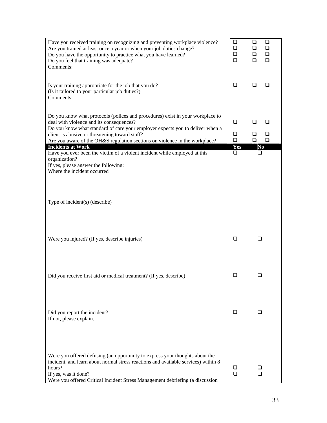| Have you received training on recognizing and preventing workplace violence?                            | $\Box$ | $\Box$<br>$\Box$ |
|---------------------------------------------------------------------------------------------------------|--------|------------------|
| Are you trained at least once a year or when your job duties change?                                    | □      | $\Box$<br>❏      |
| Do you have the opportunity to practice what you have learned?                                          | □      | $\Box$<br>❏      |
| Do you feel that training was adequate?                                                                 | □      | $\Box$<br>□      |
| Comments:                                                                                               |        |                  |
|                                                                                                         |        |                  |
|                                                                                                         |        |                  |
| Is your training appropriate for the job that you do?                                                   | $\Box$ | $\Box$<br>ப      |
| (Is it tailored to your particular job duties?)                                                         |        |                  |
| Comments:                                                                                               |        |                  |
|                                                                                                         |        |                  |
|                                                                                                         |        |                  |
| Do you know what protocols (polices and procedures) exist in your workplace to                          |        |                  |
| deal with violence and its consequences?                                                                | ❏      | ◻<br>□           |
| Do you know what standard of care your employer expects you to deliver when a                           | □      | ◻<br>❏           |
| client is abusive or threatening toward staff?                                                          | $\Box$ | $\Box$<br>$\Box$ |
| Are you aware of the OH&S regulation sections on violence in the workplace?<br><b>Incidents at Work</b> | Yes    |                  |
| Have you ever been the victim of a violent incident while employed at this                              | □      | No<br>□          |
| organization?                                                                                           |        |                  |
| If yes, please answer the following:                                                                    |        |                  |
| Where the incident occurred                                                                             |        |                  |
|                                                                                                         |        |                  |
|                                                                                                         |        |                  |
|                                                                                                         |        |                  |
|                                                                                                         |        |                  |
| Type of incident(s) (describe)                                                                          |        |                  |
|                                                                                                         |        |                  |
|                                                                                                         |        |                  |
|                                                                                                         |        |                  |
|                                                                                                         |        |                  |
|                                                                                                         |        |                  |
| Were you injured? (If yes, describe injuries)                                                           | ⊔      |                  |
|                                                                                                         |        |                  |
|                                                                                                         |        |                  |
|                                                                                                         |        |                  |
|                                                                                                         |        |                  |
|                                                                                                         |        |                  |
| Did you receive first aid or medical treatment? (If yes, describe)                                      |        |                  |
|                                                                                                         |        |                  |
|                                                                                                         |        |                  |
|                                                                                                         |        |                  |
|                                                                                                         |        |                  |
|                                                                                                         | ப      |                  |
| Did you report the incident?<br>If not, please explain.                                                 |        |                  |
|                                                                                                         |        |                  |
|                                                                                                         |        |                  |
|                                                                                                         |        |                  |
|                                                                                                         |        |                  |
|                                                                                                         |        |                  |
| Were you offered defusing (an opportunity to express your thoughts about the                            |        |                  |
| incident, and learn about normal stress reactions and available services) within 8                      |        |                  |
| hours?                                                                                                  | ⊔      | ப                |
| If yes, was it done?                                                                                    | □      | ◻                |
| Were you offered Critical Incident Stress Management debriefing (a discussion                           |        |                  |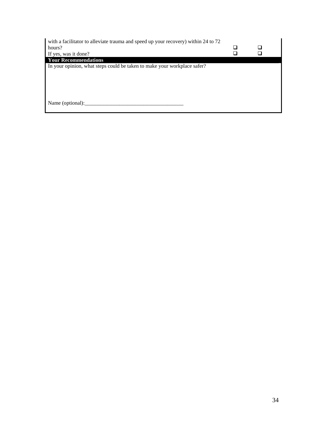| with a facilitator to alleviate trauma and speed up your recovery) within 24 to 72 |  |
|------------------------------------------------------------------------------------|--|
| hours?                                                                             |  |
| If yes, was it done?                                                               |  |
| <b>Your Recommendations</b>                                                        |  |
| In your opinion, what steps could be taken to make your workplace safer?           |  |
|                                                                                    |  |
|                                                                                    |  |
|                                                                                    |  |
|                                                                                    |  |
|                                                                                    |  |
| Name (optional):                                                                   |  |
|                                                                                    |  |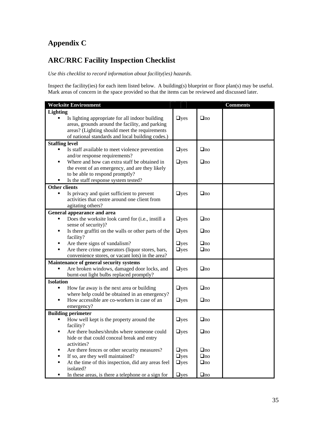## **Appendix C**

## **ARC/RRC Facility Inspection Checklist**

*Use this checklist to record information about facility(ies) hazards.* 

Inspect the facility(ies) for each item listed below. A building(s) blueprint or floor plan(s) may be useful. Mark areas of concern in the space provided so that the items can be reviewed and discussed later.

| <b>Worksite Environment</b>                                     |             |           | <b>Comments</b> |
|-----------------------------------------------------------------|-------------|-----------|-----------------|
| <b>Lighting</b>                                                 |             |           |                 |
| Is lighting appropriate for all indoor building                 | <b>Oyes</b> | $\Box$ no |                 |
| areas, grounds around the facility, and parking                 |             |           |                 |
| areas? (Lighting should meet the requirements                   |             |           |                 |
| of national standards and local building codes.)                |             |           |                 |
| <b>Staffing level</b>                                           |             |           |                 |
| Is staff available to meet violence prevention                  | $\Box$ yes  | $\Box$ no |                 |
| and/or response requirements?                                   |             |           |                 |
| Where and how can extra staff be obtained in<br>$\blacksquare$  | $\Box$ yes  | $\Box$ no |                 |
| the event of an emergency, and are they likely                  |             |           |                 |
| to be able to respond promptly?                                 |             |           |                 |
| Is the staff response system tested?                            |             |           |                 |
| <b>Other clients</b>                                            |             |           |                 |
| Is privacy and quiet sufficient to prevent                      | $\Box$ yes  | $\Box$ no |                 |
| activities that centre around one client from                   |             |           |                 |
| agitating others?                                               |             |           |                 |
| General appearance and area                                     |             |           |                 |
| Does the worksite look cared for (i.e., instill a               | $\Box$ yes  | $\Box$ no |                 |
| sense of security)?                                             |             |           |                 |
| Is there graffiti on the walls or other parts of the<br>п       | $\Box$ yes  | $\Box$ no |                 |
| facility?                                                       |             |           |                 |
| Are there signs of vandalism?                                   | $\Box$ yes  | $\Box$ no |                 |
| Are there crime generators (liquor stores, bars,                | $\Box$ yes  | $\Box$ no |                 |
| convenience stores, or vacant lots) in the area?                |             |           |                 |
| Maintenance of general security systems                         |             |           |                 |
| Are broken windows, damaged door locks, and                     | $\Box$ yes  | $\Box$ no |                 |
| burnt-out light bulbs replaced promptly?                        |             |           |                 |
| <b>Isolation</b>                                                |             |           |                 |
| How far away is the next area or building<br>п                  | <b>Oyes</b> | $\Box$ no |                 |
| where help could be obtained in an emergency?                   |             |           |                 |
| How accessible are co-workers in case of an                     | $\Box$ yes  | $\Box$ no |                 |
| emergency?                                                      |             |           |                 |
| <b>Building perimeter</b>                                       |             |           |                 |
| How well kept is the property around the                        | $\Box$ yes  | $\Box$ no |                 |
| facility?                                                       |             |           |                 |
| Are there bushes/shrubs where someone could<br>$\blacksquare$   | $\Box$ yes  | $\Box$ no |                 |
| hide or that could conceal break and entry                      |             |           |                 |
| activities?                                                     |             |           |                 |
| Are there fences or other security measures?                    | $\Box$ yes  | $\Box$ no |                 |
| If so, are they well maintained?<br>$\blacksquare$              | $\Box$ yes  | $\Box$ no |                 |
| At the time of this inspection, did any areas feel<br>isolated? | $\Box$ yes  | $\Box$ no |                 |
| In these areas, is there a telephone or a sign for              | $\Box$ yes  | $\Box$ no |                 |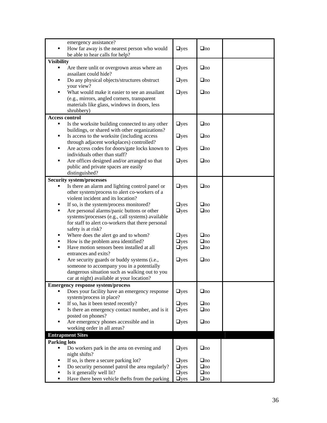|                       | emergency assistance?                             |            |           |  |
|-----------------------|---------------------------------------------------|------------|-----------|--|
|                       | How far away is the nearest person who would      | $\Box$ yes | $\Box$ no |  |
|                       | be able to hear calls for help?                   |            |           |  |
| <b>Visibility</b>     |                                                   |            |           |  |
| п                     |                                                   |            | $\Box$ no |  |
|                       | Are there unlit or overgrown areas where an       | $\Box$ yes |           |  |
|                       | assailant could hide?                             |            |           |  |
| ٠                     | Do any physical objects/structures obstruct       | $\Box$ yes | $\Box$ no |  |
|                       | your view?                                        |            |           |  |
| ٠                     | What would make it easier to see an assailant     | $\Box$ yes | $\Box$ no |  |
|                       | (e.g., mirrors, angled corners, transparent       |            |           |  |
|                       | materials like glass, windows in doors, less      |            |           |  |
|                       | shrubbery)                                        |            |           |  |
| <b>Access control</b> |                                                   |            |           |  |
|                       |                                                   |            |           |  |
|                       | Is the worksite building connected to any other   | $\Box$ yes | $\Box$ no |  |
|                       | buildings, or shared with other organizations?    |            |           |  |
| ٠                     | Is access to the worksite (including access       | $\Box$ yes | $\Box$ no |  |
|                       | through adjacent workplaces) controlled?          |            |           |  |
| ٠                     | Are access codes for doors/gate locks known to    | $\Box$ yes | $\Box$ no |  |
|                       | individuals other than staff?                     |            |           |  |
| ٠                     | Are offices designed and/or arranged so that      | $\Box$ yes | $\Box$ no |  |
|                       | public and private spaces are easily              |            |           |  |
|                       | distinguished?                                    |            |           |  |
|                       |                                                   |            |           |  |
|                       | <b>Security system/processes</b>                  |            |           |  |
|                       | Is there an alarm and lighting control panel or   | $\Box$ yes | $\Box$ no |  |
|                       | other system/process to alert co-workers of a     |            |           |  |
|                       | violent incident and its location?                |            |           |  |
|                       | If so, is the system/process monitored?           | $\Box$ yes | $\Box$ no |  |
| ٠                     | Are personal alarms/panic buttons or other        | $\Box$ yes | $\Box$ no |  |
|                       | systems/processes (e.g., call systems) available  |            |           |  |
|                       | for staff to alert co-workers that there personal |            |           |  |
|                       | safety is at risk?                                |            |           |  |
|                       |                                                   |            |           |  |
| ٠                     | Where does the alert go and to whom?              | $\Box$ yes | $\Box$ no |  |
| ٠                     | How is the problem area identified?               | $\Box$ yes | $\Box$ no |  |
| ٠                     | Have motion sensors been installed at all         | $\Box$ yes | $\Box$ no |  |
|                       | entrances and exits?                              |            |           |  |
| ٠                     | Are security guards or buddy systems (i.e.,       | $\Box$ yes | $\Box$ no |  |
|                       | someone to accompany you in a potentially         |            |           |  |
|                       | dangerous situation such as walking out to you    |            |           |  |
|                       | car at night) available at your location?         |            |           |  |
|                       | <b>Emergency response system/process</b>          |            |           |  |
|                       |                                                   |            | $\Box$ no |  |
|                       | Does your facility have an emergency response     | $\Box$ yes |           |  |
|                       | system/process in place?                          |            |           |  |
| ٠                     | If so, has it been tested recently?               | $\Box$ yes | $\Box$ no |  |
| ٠                     | Is there an emergency contact number, and is it   | $\Box$ yes | $\Box$ no |  |
|                       | posted on phones?                                 |            |           |  |
| ٠                     | Are emergency phones accessible and in            | $\Box$ yes | $\Box$ no |  |
|                       | working order in all areas?                       |            |           |  |
|                       | <b>Entrapment Sites</b>                           |            |           |  |
|                       |                                                   |            |           |  |
| <b>Parking lots</b>   |                                                   |            |           |  |
|                       | Do workers park in the area on evening and        | $\Box$ yes | $\Box$ no |  |
|                       | night shifts?                                     |            |           |  |
| ٠                     | If so, is there a secure parking lot?             | $\Box$ yes | $\Box$ no |  |
| ٠                     | Do security personnel patrol the area regularly?  | $\Box$ yes | $\Box$ no |  |
| ٠                     | Is it generally well lit?                         | $\Box$ yes | $\Box$ no |  |
| ٠                     | Have there been vehicle thefts from the parking   | $\Box$ yes | $\Box$ no |  |
|                       |                                                   |            |           |  |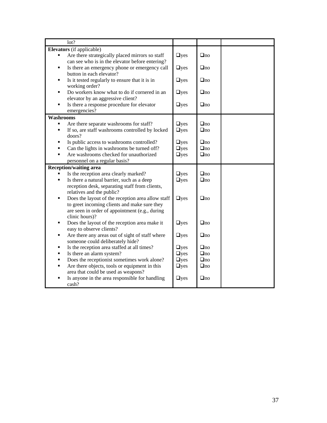| lot?                                                             |            |           |  |
|------------------------------------------------------------------|------------|-----------|--|
| Elevators (if applicable)                                        |            |           |  |
| Are there strategically placed mirrors so staff                  | $\Box$ yes | $\Box$ no |  |
| can see who is in the elevator before entering?                  |            |           |  |
| Is there an emergency phone or emergency call<br>٠               | $\Box$ yes | $\Box$ no |  |
| button in each elevator?                                         |            |           |  |
| Is it tested regularly to ensure that it is in<br>٠              | $\Box$ yes | $\Box$ no |  |
| working order?                                                   |            |           |  |
| Do workers know what to do if cornered in an<br>٠                | $\Box$ yes | $\Box$ no |  |
| elevator by an aggressive client?                                |            |           |  |
| Is there a response procedure for elevator<br>٠                  | $\Box$ yes | $\Box$ no |  |
| emergencies?                                                     |            |           |  |
| Washrooms                                                        |            |           |  |
| Are there separate washrooms for staff?                          | $\Box$ yes | $\Box$ no |  |
| If so, are staff washrooms controlled by locked<br>٠             | $\Box$ yes | $\Box$ no |  |
| doors?                                                           |            |           |  |
| Is public access to washrooms controlled?<br>٠                   | $\Box$ yes | $\Box$ no |  |
| Can the lights in washrooms be turned off?                       | $\Box$ yes | $\Box$ no |  |
| Are washrooms checked for unauthorized                           | $\Box$ yes | $\Box$ no |  |
| personnel on a regular basis?                                    |            |           |  |
| <b>Reception/waiting area</b>                                    |            |           |  |
| Is the reception area clearly marked?                            | $\Box$ yes | $\Box$ no |  |
| Is there a natural barrier, such as a deep<br>٠                  | $\Box$ yes | $\Box$ no |  |
| reception desk, separating staff from clients,                   |            |           |  |
| relatives and the public?<br>٠                                   |            |           |  |
| Does the layout of the reception area allow staff                | $\Box$ yes | $\Box$ no |  |
| to greet incoming clients and make sure they                     |            |           |  |
| are seen in order of appointment (e.g., during<br>clinic hours)? |            |           |  |
| Does the layout of the reception area make it<br>٠               | $\Box$ yes | $\Box$ no |  |
| easy to observe clients?                                         |            |           |  |
| Are there any areas out of sight of staff where<br>٠             | $\Box$ yes | $\Box$ no |  |
| someone could deliberately hide?                                 |            |           |  |
| Is the reception area staffed at all times?<br>п                 | $\Box$ yes | $\Box$ no |  |
| Is there an alarm system?<br>$\blacksquare$                      | $\Box$ yes | $\Box$ no |  |
| Does the receptionist sometimes work alone?<br>$\blacksquare$    | $\Box$ yes | $\Box$ no |  |
| Are there objects, tools or equipment in this<br>٠               | $\Box$ yes | $\Box$ no |  |
| area that could be used as weapons?                              |            |           |  |
| Is anyone in the area responsible for handling                   | $\Box$ yes | $\Box$ no |  |
| cash?                                                            |            |           |  |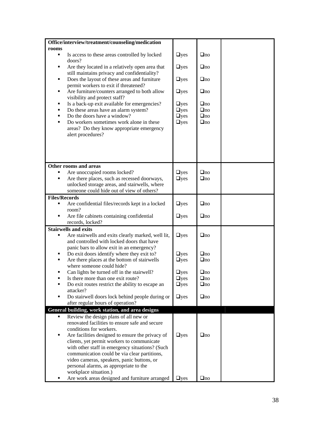| Office/interview/treatment/counseling/medication                                     |              |           |  |
|--------------------------------------------------------------------------------------|--------------|-----------|--|
| rooms                                                                                |              |           |  |
| Is access to these areas controlled by locked<br>٠                                   | $\Box$ yes   | $\Box$ no |  |
| doors?                                                                               |              |           |  |
| Are they located in a relatively open area that<br>٠                                 | $\Box$ yes   | $\Box$ no |  |
| still maintains privacy and confidentiality?                                         |              |           |  |
| Does the layout of these areas and furniture<br>٠                                    | $\Box$ yes   | $\Box$ no |  |
| permit workers to exit if threatened?                                                |              |           |  |
| Are furniture/counters arranged to both allow<br>٠                                   | $\Box$ yes   | $\Box$ no |  |
| visibility and protect staff?                                                        |              |           |  |
| Is a back-up exit available for emergencies?<br>٠                                    | $\Box$ yes   | $\Box$ no |  |
| Do these areas have an alarm system?<br>٠                                            | $\Box$ yes   | $\Box$ no |  |
| Do the doors have a window?<br>п                                                     | $\Box$ yes   | $\Box$ no |  |
| Do workers sometimes work alone in these<br>٠                                        | $\Box$ yes   | $\Box$ no |  |
| areas? Do they know appropriate emergency<br>alert procedures?                       |              |           |  |
|                                                                                      |              |           |  |
|                                                                                      |              |           |  |
|                                                                                      |              |           |  |
|                                                                                      |              |           |  |
| Other rooms and areas                                                                |              |           |  |
| Are unoccupied rooms locked?                                                         | $\Box$ yes   | $\Box$ no |  |
| Are there places, such as recessed doorways,                                         | $\Box$ yes   | $\Box$ no |  |
| unlocked storage areas, and stairwells, where                                        |              |           |  |
| someone could hide out of view of others?                                            |              |           |  |
| <b>Files/Records</b>                                                                 |              |           |  |
| Are confidential files/records kept in a locked                                      | $\Box$ yes   | $\Box$ no |  |
| room?                                                                                |              |           |  |
| Are file cabinets containing confidential<br>п                                       | $\Box$ yes   | $\Box$ no |  |
| records, locked?                                                                     |              |           |  |
| <b>Stairwells and exits</b>                                                          |              |           |  |
| Are stairwells and exits clearly marked, well lit,<br>٠                              | $\Box$ yes   | $\Box$ no |  |
| and controlled with locked doors that have                                           |              |           |  |
| panic bars to allow exit in an emergency?                                            |              |           |  |
| Do exit doors identify where they exit to?                                           | $\Box$ yes   | $\Box$ no |  |
| Are there places at the bottom of stairwells<br>п                                    | $\Box$ yes   | $\Box$ no |  |
| where someone could hide?                                                            |              |           |  |
| Can lights be turned off in the stairwell?                                           | $\Box$ yes   | $\Box$ no |  |
| Is there more than one exit route?                                                   | $\sqcup$ yes | $\Box$ no |  |
| Do exit routes restrict the ability to escape an<br>٠                                | $\Box$ yes   | $\Box$ no |  |
| attacker?<br>٠                                                                       |              |           |  |
| Do stairwell doors lock behind people during or<br>after regular hours of operation? | $\Box$ yes   | $\Box$ no |  |
| General building, work station, and area designs                                     |              |           |  |
| Review the design plans of all new or<br>٠                                           |              |           |  |
| renovated facilities to ensure safe and secure                                       |              |           |  |
| conditions for workers.                                                              |              |           |  |
| Are facilities designed to ensure the privacy of<br>٠                                | $\Box$ yes   | $\Box$ no |  |
| clients, yet permit workers to communicate                                           |              |           |  |
| with other staff in emergency situations? (Such                                      |              |           |  |
| communication could be via clear partitions,                                         |              |           |  |
| video cameras, speakers, panic buttons, or                                           |              |           |  |
| personal alarms, as appropriate to the                                               |              |           |  |
| workplace situation.)                                                                |              |           |  |
| Are work areas designed and furniture arranged<br>٠                                  | $\Box$ yes   | $\Box$ no |  |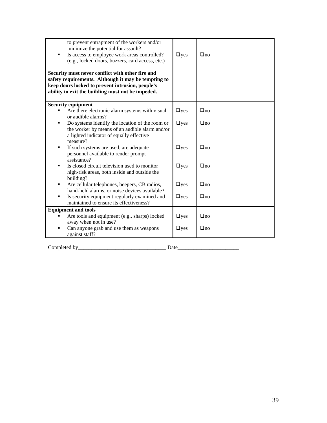| to prevent entrapment of the workers and/or<br>minimize the potential for assault?<br>Is access to employee work areas controlled?<br>(e.g., locked doors, buzzers, card access, etc.)<br>Security must never conflict with other fire and<br>safety requirements. Although it may be tempting to<br>keep doors locked to prevent intrusion, people's<br>ability to exit the building must not be impeded. | $\Box$ yes | $\Box$ no |  |
|------------------------------------------------------------------------------------------------------------------------------------------------------------------------------------------------------------------------------------------------------------------------------------------------------------------------------------------------------------------------------------------------------------|------------|-----------|--|
| <b>Security equipment</b>                                                                                                                                                                                                                                                                                                                                                                                  |            |           |  |
| Are there electronic alarm systems with visual<br>or audible alarms?                                                                                                                                                                                                                                                                                                                                       | $\Box$ yes | $\Box$ no |  |
| Do systems identify the location of the room or<br>the worker by means of an audible alarm and/or<br>a lighted indicator of equally effective<br>measure?                                                                                                                                                                                                                                                  | $\Box$ yes | $\Box$ no |  |
| If such systems are used, are adequate<br>٠<br>personnel available to render prompt<br>assistance?                                                                                                                                                                                                                                                                                                         | $\Box$ yes | $\Box$ no |  |
| Is closed circuit television used to monitor<br>٠<br>high-risk areas, both inside and outside the<br>building?                                                                                                                                                                                                                                                                                             | $\Box$ yes | $\Box$ no |  |
| Are cellular telephones, beepers, CB radios,<br>٠<br>hand-held alarms, or noise devices available?                                                                                                                                                                                                                                                                                                         | $\Box$ yes | $\Box$ no |  |
| Is security equipment regularly examined and<br>maintained to ensure its effectiveness?                                                                                                                                                                                                                                                                                                                    | $\Box$ yes | $\Box$ no |  |
| <b>Equipment and tools</b>                                                                                                                                                                                                                                                                                                                                                                                 |            |           |  |
| Are tools and equipment (e.g., sharps) locked<br>away when not in use?                                                                                                                                                                                                                                                                                                                                     | $\Box$ yes | $\Box$ no |  |
| Can anyone grab and use them as weapons<br>against staff?                                                                                                                                                                                                                                                                                                                                                  | $\Box$ yes | $\Box$ no |  |

Completed by\_\_\_\_\_\_\_\_\_\_\_\_\_\_\_\_\_\_\_\_\_\_\_\_\_\_\_\_\_\_\_\_\_ Date\_\_\_\_\_\_\_\_\_\_\_\_\_\_\_\_\_\_\_\_\_\_\_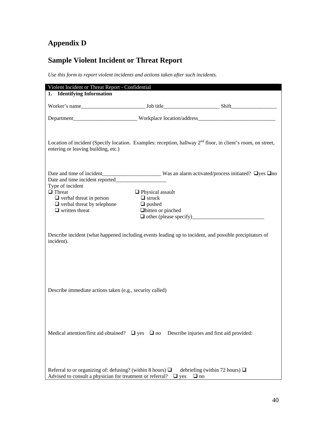## **Appendix D**

## **Sample Violent Incident or Threat Report**

*Use this form to report violent incidents and actions taken after such incidents.* 

| Violent Incident or Threat Report - Confidential                                                                                                                     |                                                                                 |                                                                                                         |
|----------------------------------------------------------------------------------------------------------------------------------------------------------------------|---------------------------------------------------------------------------------|---------------------------------------------------------------------------------------------------------|
| 1. Identifying Information                                                                                                                                           |                                                                                 |                                                                                                         |
|                                                                                                                                                                      |                                                                                 |                                                                                                         |
|                                                                                                                                                                      |                                                                                 |                                                                                                         |
| Location of incident (Specify location. Examples: reception, hallway 2 <sup>nd</sup> floor, in client's room, on street,<br>entering or leaving building, etc.)      |                                                                                 |                                                                                                         |
| Date and time incident reported<br>Type of incident<br>$\Box$ Threat<br>$\Box$ verbal threat in person<br>$\Box$ verbal threat by telephone<br>$\Box$ written threat | $\Box$ Physical assault<br>$\Box$ struck<br>$\Box$ pushed<br>Dbitten or pinched |                                                                                                         |
| incident).                                                                                                                                                           |                                                                                 | Describe incident (what happened including events leading up to incident, and possible precipitators of |
| Describe immediate actions taken (e.g., security called)                                                                                                             |                                                                                 |                                                                                                         |
| Medical attention/first aid obtained? $\Box$ yes $\Box$ no                                                                                                           |                                                                                 | Describe injuries and first aid provided:                                                               |
| Referral to or organizing of: defusing? (within 8 hours) $\Box$<br>Advised to consult a physician for treatment or referral?                                         | $\Box$ yes                                                                      | debriefing (within 72 hours) $\Box$<br>$\Box$ no                                                        |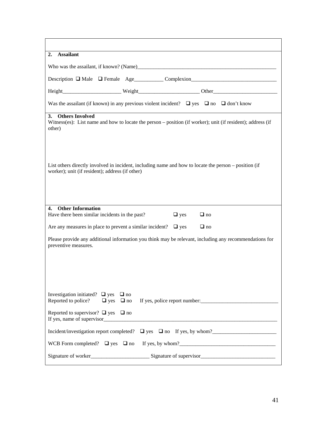| <b>Assailant</b><br>2.                                                                                                                                   |  |  |
|----------------------------------------------------------------------------------------------------------------------------------------------------------|--|--|
|                                                                                                                                                          |  |  |
|                                                                                                                                                          |  |  |
|                                                                                                                                                          |  |  |
| Was the assailant (if known) in any previous violent incident? $\Box$ yes $\Box$ no $\Box$ don't know                                                    |  |  |
| <b>Others Involved</b><br>3.<br>Witness(es): List name and how to locate the person – position (if worker); unit (if resident); address (if<br>other)    |  |  |
| List others directly involved in incident, including name and how to locate the person – position (if<br>worker); unit (if resident); address (if other) |  |  |
| <b>Other Information</b><br>4.                                                                                                                           |  |  |
| Have there been similar incidents in the past?<br>$\Box$ yes<br>$\Box$ no                                                                                |  |  |
| Are any measures in place to prevent a similar incident? $\Box$ yes<br>$\Box$ no                                                                         |  |  |
| Please provide any additional information you think may be relevant, including any recommendations for<br>preventive measures.                           |  |  |
| Investigation initiated? $\Box$ yes $\Box$ no<br>Reported to police?<br>$\Box$ yes $\Box$ no                                                             |  |  |
| Reported to supervisor? $\Box$ yes $\Box$ no                                                                                                             |  |  |
| Incident/investigation report completed? $\Box$ yes $\Box$ no If yes, by whom?                                                                           |  |  |
| WCB Form completed? $\Box$ yes $\Box$ no                                                                                                                 |  |  |
| Signature of worker<br>Signature of supervisor<br>Signature of supervisor<br>Signature of supervisor                                                     |  |  |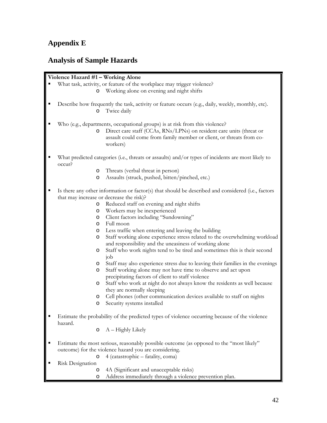#### **Appendix E**

#### **Analysis of Sample Hazards**

#### **Violence Hazard #1 – Working Alone**

- What task, activity, or feature of the workplace may trigger violence?
	- o Working alone on evening and night shifts
- Describe how frequently the task, activity or feature occurs (e.g., daily, weekly, monthly, etc). o Twice daily
- Who (e.g., departments, occupational groups) is at risk from this violence?
	- o Direct care staff (CCAs, RNs/LPNs) on resident care units (threat or assault could come from family member or client, or threats from coworkers)
- What predicted categories (i.e., threats or assaults) and/or types of incidents are most likely to occur?
	- o Threats (verbal threat in person)
	- o Assaults (struck, pushed, bitten/pinched, etc.)
- Is there any other information or factor(s) that should be described and considered (i.e., factors that may increase or decrease the risk)?
	- o Reduced staff on evening and night shifts
	- o Workers may be inexperienced
	- o Client factors including "Sundowning"
	- o Full moon
	- o Less traffic when entering and leaving the building
	- o Staff working alone experience stress related to the overwhelming workload and responsibility and the uneasiness of working alone
	- o Staff who work nights tend to be tired and sometimes this is their second job
	- o Staff may also experience stress due to leaving their families in the evenings
	- o Staff working alone may not have time to observe and act upon precipitating factors of client to staff violence
	- o Staff who work at night do not always know the residents as well because they are normally sleeping
	- o Cell phones (other communication devices available to staff on nights
	- Security systems installed
- Estimate the probability of the predicted types of violence occurring because of the violence hazard.
	- $\circ$  A Highly Likely
- Estimate the most serious, reasonably possible outcome (as opposed to the "most likely" outcome) for the violence hazard you are considering.
	- o 4 (catastrophic fatality, coma)
- Risk Designation
	- o 4A (Significant and unacceptable risks)
	- o Address immediately through a violence prevention plan.